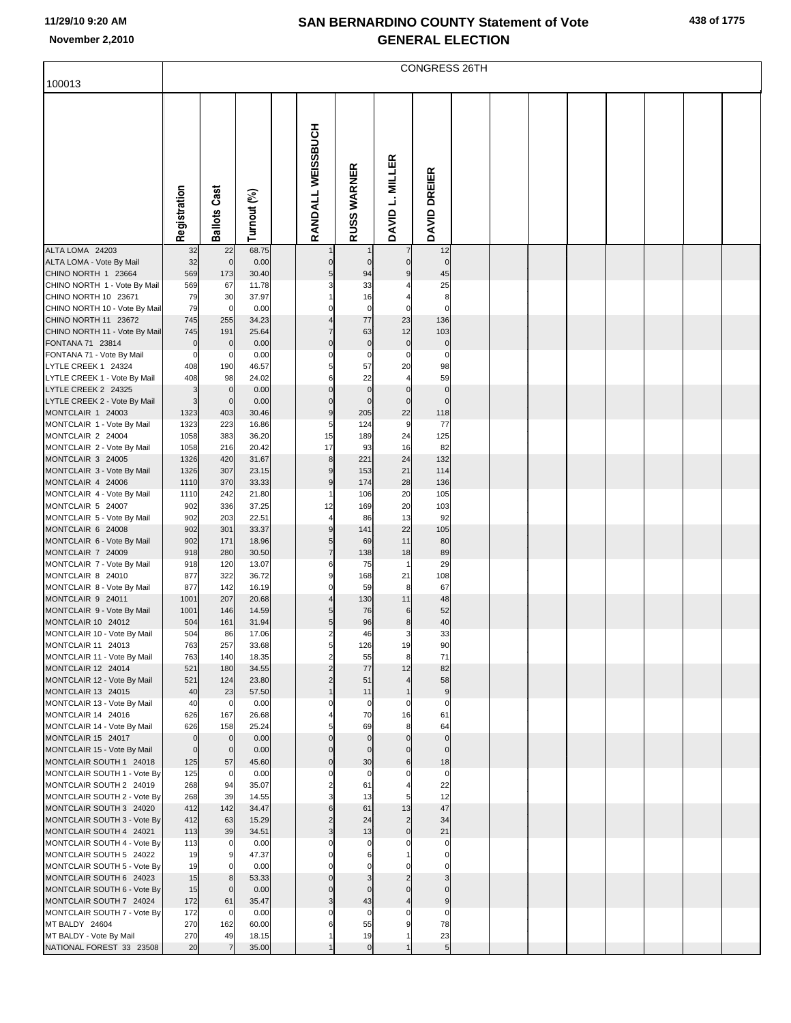|  | 438 of 1775 |
|--|-------------|
|  |             |

|                                                        |                       | CONGRESS 26TH       |                |  |                                  |                    |                               |                                 |  |  |  |  |  |  |
|--------------------------------------------------------|-----------------------|---------------------|----------------|--|----------------------------------|--------------------|-------------------------------|---------------------------------|--|--|--|--|--|--|
| 100013                                                 |                       |                     |                |  |                                  |                    |                               |                                 |  |  |  |  |  |  |
|                                                        | Registration          | <b>Ballots Cast</b> | Turnout (%)    |  | RANDALL WEISSBUCH                | <b>RUSS WARNER</b> | DAVID L. MILLER               | DAVID DREIER                    |  |  |  |  |  |  |
| ALTA LOMA 24203                                        | 32                    | 22                  | 68.75          |  |                                  |                    |                               | 12                              |  |  |  |  |  |  |
| ALTA LOMA - Vote By Mail<br>CHINO NORTH 1 23664        | 32<br>569             | $\pmb{0}$<br>173    | 0.00<br>30.40  |  | $\mathbf 0$<br>5                 | $\mathbf 0$<br>94  | $\pmb{0}$<br>$\boldsymbol{9}$ | $\pmb{0}$<br>45                 |  |  |  |  |  |  |
| CHINO NORTH 1 - Vote By Mail                           | 569                   | 67                  | 11.78          |  | 3                                | 33                 |                               | 25                              |  |  |  |  |  |  |
| CHINO NORTH 10 23671                                   | 79                    | 30                  | 37.97          |  |                                  | 16                 |                               | 8                               |  |  |  |  |  |  |
| CHINO NORTH 10 - Vote By Mail<br>CHINO NORTH 11 23672  | 79<br>745             | $\mathbf 0$<br>255  | 0.00<br>34.23  |  | $\Omega$                         | $\pmb{0}$<br>77    | $\mathbf 0$<br>23             | $\pmb{0}$<br>136                |  |  |  |  |  |  |
| CHINO NORTH 11 - Vote By Mail                          | 745                   | 191                 | 25.64          |  | $\overline{7}$                   | 63                 | 12                            | 103                             |  |  |  |  |  |  |
| FONTANA 71 23814                                       | $\mathbf 0$           | $\mathbf 0$         | 0.00           |  | $\pmb{0}$                        | $\pmb{0}$          | $\pmb{0}$                     | $\pmb{0}$                       |  |  |  |  |  |  |
| FONTANA 71 - Vote By Mail                              | 0                     | $\mathbf 0$         | 0.00           |  | 0                                | 0                  | $\pmb{0}$                     | $\mathbf 0$                     |  |  |  |  |  |  |
| LYTLE CREEK 1 24324                                    | 408                   | 190                 | 46.57          |  | 5                                | 57                 | 20                            | 98                              |  |  |  |  |  |  |
| LYTLE CREEK 1 - Vote By Mail<br>LYTLE CREEK 2 24325    | 408<br>3              | 98<br>$\mathbf 0$   | 24.02<br>0.00  |  | 6<br>$\mathbf 0$                 | 22<br>$\pmb{0}$    | $\overline{4}$<br>$\pmb{0}$   | 59<br>$\pmb{0}$                 |  |  |  |  |  |  |
| LYTLE CREEK 2 - Vote By Mail                           | 3                     | $\mathbf 0$         | 0.00           |  | $\pmb{0}$                        | $\pmb{0}$          | $\pmb{0}$                     | $\pmb{0}$                       |  |  |  |  |  |  |
| MONTCLAIR 1 24003                                      | 1323                  | 403                 | 30.46          |  | 9                                | 205                | 22                            | 118                             |  |  |  |  |  |  |
| MONTCLAIR 1 - Vote By Mail                             | 1323                  | 223                 | 16.86          |  | 5                                | 124                | 9                             | 77                              |  |  |  |  |  |  |
| MONTCLAIR 2 24004<br>MONTCLAIR 2 - Vote By Mail        | 1058<br>1058          | 383<br>216          | 36.20<br>20.42 |  | 15<br>17                         | 189<br>93          | 24<br>16                      | 125<br>82                       |  |  |  |  |  |  |
| MONTCLAIR 3 24005                                      | 1326                  | 420                 | 31.67          |  | $\bf8$                           | 221                | 24                            | 132                             |  |  |  |  |  |  |
| MONTCLAIR 3 - Vote By Mail                             | 1326                  | 307                 | 23.15          |  | 9                                | 153                | 21                            | 114                             |  |  |  |  |  |  |
| MONTCLAIR 4 24006                                      | 1110                  | 370                 | 33.33          |  | 9                                | 174                | 28                            | 136                             |  |  |  |  |  |  |
| MONTCLAIR 4 - Vote By Mail<br>MONTCLAIR 5 24007        | 1110<br>902           | 242<br>336          | 21.80<br>37.25 |  | 1<br>12                          | 106<br>169         | 20<br>20                      | 105<br>103                      |  |  |  |  |  |  |
| MONTCLAIR 5 - Vote By Mail                             | 902                   | 203                 | 22.51          |  | 4                                | 86                 | 13                            | 92                              |  |  |  |  |  |  |
| MONTCLAIR 6 24008                                      | 902                   | 301                 | 33.37          |  | 9                                | 141                | 22                            | 105                             |  |  |  |  |  |  |
| MONTCLAIR 6 - Vote By Mail                             | 902                   | 171                 | 18.96          |  | 5                                | 69                 | 11                            | 80                              |  |  |  |  |  |  |
| MONTCLAIR 7 24009<br>MONTCLAIR 7 - Vote By Mail        | 918<br>918            | 280<br>120          | 30.50<br>13.07 |  | $\overline{7}$<br>6              | 138<br>75          | 18<br>1                       | 89<br>29                        |  |  |  |  |  |  |
| MONTCLAIR 8 24010                                      | 877                   | 322                 | 36.72          |  | 9                                | 168                | 21                            | 108                             |  |  |  |  |  |  |
| MONTCLAIR 8 - Vote By Mail                             | 877                   | 142                 | 16.19          |  | 0                                | 59                 | 8                             | 67                              |  |  |  |  |  |  |
| MONTCLAIR 9 24011                                      | 1001                  | 207                 | 20.68          |  | 4                                | 130                | 11                            | 48                              |  |  |  |  |  |  |
| MONTCLAIR 9 - Vote By Mail<br>MONTCLAIR 10 24012       | 1001<br>504           | 146<br>161          | 14.59<br>31.94 |  | 5<br>5                           | 76<br>96           | 6<br>$\boldsymbol{8}$         | 52<br>$40\,$                    |  |  |  |  |  |  |
| MONTCLAIR 10 - Vote By Mail                            | 504                   | 86                  | 17.06          |  | $\overline{2}$                   | 46                 | $\overline{\mathbf{3}}$       | 33                              |  |  |  |  |  |  |
| MONTCLAIR 11 24013                                     | 763                   | 257                 | 33.68          |  |                                  | 126                | 19                            | 90                              |  |  |  |  |  |  |
| MONTCLAIR 11 - Vote By Mail                            | 763                   | 140                 | 18.35          |  | $\overline{2}$                   | 55                 | 8                             | 71                              |  |  |  |  |  |  |
| MONTCLAIR 12 24014<br>MONTCLAIR 12 - Vote By Mail      | 521<br>521            | 180<br>124          | 34.55<br>23.80 |  | $\overline{2}$<br>$\overline{a}$ | 77<br>51           | 12<br>$\overline{4}$          | 82<br>58                        |  |  |  |  |  |  |
| MONTCLAIR 13 24015                                     | 40                    | 23                  | 57.50          |  | $\mathbf{1}$                     | 11                 | $\mathbf{1}$                  | 9                               |  |  |  |  |  |  |
| MONTCLAIR 13 - Vote By Mail                            | 40                    | $\mathbf 0$         | 0.00           |  | 0                                | 0                  | $\mathbf 0$                   | $\pmb{0}$                       |  |  |  |  |  |  |
| MONTCLAIR 14 24016                                     | 626                   | 167                 | 26.68          |  |                                  | 70                 | 16                            | 61                              |  |  |  |  |  |  |
| MONTCLAIR 14 - Vote By Mail<br>MONTCLAIR 15 24017      | 626<br>$\overline{0}$ | 158<br>$\mathbf 0$  | 25.24<br>0.00  |  | 5<br>$\Omega$                    | 69<br>$\pmb{0}$    | 8<br>$\mathbf 0$              | 64<br>$\pmb{0}$                 |  |  |  |  |  |  |
| MONTCLAIR 15 - Vote By Mail                            | $\overline{0}$        | $\mathbf 0$         | 0.00           |  | $\mathbf 0$                      | $\mathbf 0$        | $\mathbf 0$                   | $\mathbf 0$                     |  |  |  |  |  |  |
| MONTCLAIR SOUTH 1 24018                                | 125                   | 57                  | 45.60          |  | $\mathbf 0$                      | 30                 | $\,$ 6                        | 18                              |  |  |  |  |  |  |
| MONTCLAIR SOUTH 1 - Vote By                            | 125                   | $\mathbf 0$         | 0.00           |  | $\Omega$                         | $\mathbf 0$        | $\mathbf 0$                   | $\pmb{0}$                       |  |  |  |  |  |  |
| MONTCLAIR SOUTH 2 24019<br>MONTCLAIR SOUTH 2 - Vote By | 268<br>268            | 94<br>39            | 35.07<br>14.55 |  | $\overline{2}$<br>3              | 61<br>13           | $\overline{4}$<br>5           | 22<br>12                        |  |  |  |  |  |  |
| MONTCLAIR SOUTH 3 24020                                | 412                   | 142                 | 34.47          |  | 6                                | 61                 | 13                            | 47                              |  |  |  |  |  |  |
| MONTCLAIR SOUTH 3 - Vote By                            | 412                   | 63                  | 15.29          |  | $\overline{c}$                   | 24                 | $\overline{c}$                | 34                              |  |  |  |  |  |  |
| MONTCLAIR SOUTH 4 24021                                | 113                   | 39                  | 34.51          |  | 3                                | 13                 | $\mathbf 0$                   | 21                              |  |  |  |  |  |  |
| MONTCLAIR SOUTH 4 - Vote By<br>MONTCLAIR SOUTH 5 24022 | 113<br>19             | $\mathbf 0$<br>9    | 0.00<br>47.37  |  | $\Omega$                         | 0<br>6             | $\Omega$                      | $\pmb{0}$<br>$\mathbf 0$        |  |  |  |  |  |  |
| MONTCLAIR SOUTH 5 - Vote By                            | 19                    | $\mathbf 0$         | 0.00           |  |                                  | $\Omega$           | $\Omega$                      | $\mathbf 0$                     |  |  |  |  |  |  |
| MONTCLAIR SOUTH 6 24023                                | 15                    | 8                   | 53.33          |  |                                  |                    |                               | $\mathsf 3$                     |  |  |  |  |  |  |
| MONTCLAIR SOUTH 6 - Vote By                            | 15                    | $\mathbf 0$         | 0.00           |  | $\mathbf 0$                      | $\mathbf 0$        | $\Omega$                      | $\mathbf 0$                     |  |  |  |  |  |  |
| MONTCLAIR SOUTH 7 24024                                | 172                   | 61                  | 35.47          |  | 3                                | 43<br>$\Omega$     | $\Omega$                      | $\boldsymbol{9}$<br>$\mathbf 0$ |  |  |  |  |  |  |
| MONTCLAIR SOUTH 7 - Vote By<br>MT BALDY 24604          | 172<br>270            | $\mathbf 0$<br>162  | 0.00<br>60.00  |  | 6                                | 55                 | 9                             | 78                              |  |  |  |  |  |  |
| MT BALDY - Vote By Mail                                | 270                   | 49                  | 18.15          |  |                                  | 19                 |                               | 23                              |  |  |  |  |  |  |
| NATIONAL FOREST 33 23508                               | 20                    | $\overline{7}$      | 35.00          |  |                                  | $\overline{0}$     |                               | 5 <sub>1</sub>                  |  |  |  |  |  |  |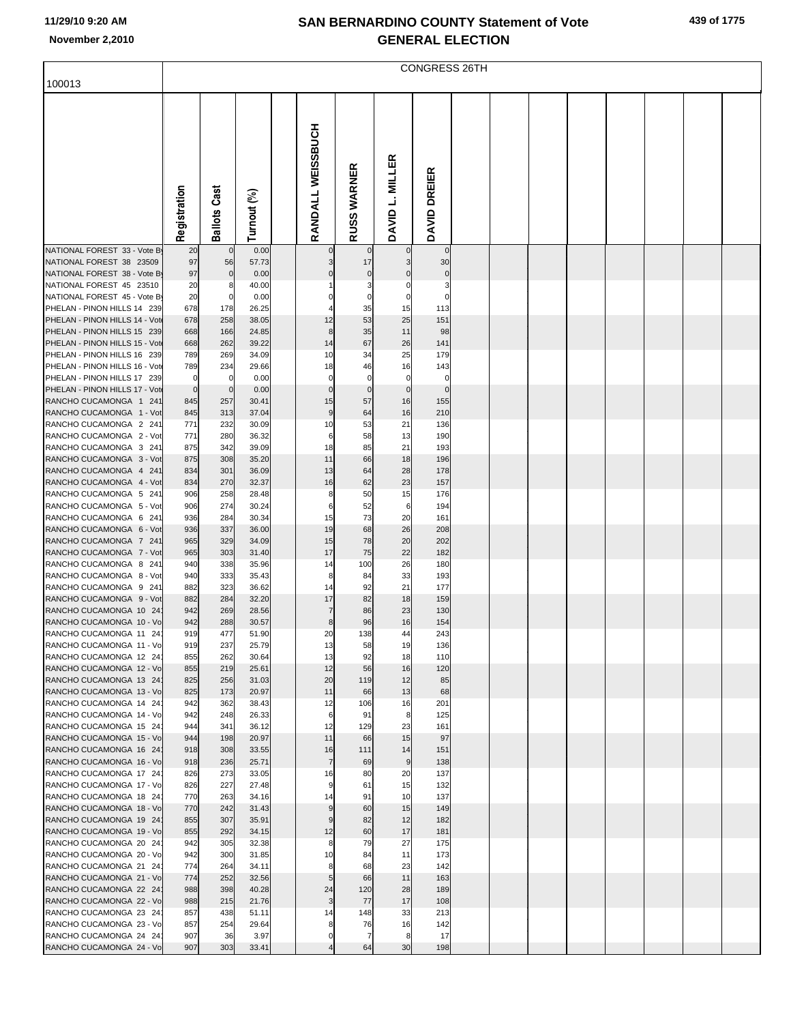|                                                               |              |                       |                |                        |                    |                   | <b>CONGRESS 26TH</b> |  |  |  |  |
|---------------------------------------------------------------|--------------|-----------------------|----------------|------------------------|--------------------|-------------------|----------------------|--|--|--|--|
| 100013                                                        |              |                       |                |                        |                    |                   |                      |  |  |  |  |
|                                                               |              |                       |                |                        |                    |                   |                      |  |  |  |  |
|                                                               |              |                       |                |                        |                    |                   |                      |  |  |  |  |
|                                                               |              |                       |                | RANDALL WEISSBUCH      |                    |                   |                      |  |  |  |  |
|                                                               |              |                       |                |                        |                    |                   |                      |  |  |  |  |
|                                                               |              |                       |                |                        |                    |                   |                      |  |  |  |  |
|                                                               |              |                       |                |                        |                    |                   |                      |  |  |  |  |
|                                                               |              |                       |                |                        |                    |                   |                      |  |  |  |  |
|                                                               |              |                       |                |                        |                    |                   |                      |  |  |  |  |
|                                                               | Registration | <b>Ballots Cast</b>   | Turnout (%)    |                        | <b>RUSS WARNER</b> | DAVID L. MILLER   | DAVID DREIER         |  |  |  |  |
| NATIONAL FOREST 33 - Vote B                                   | 20           | $\pmb{0}$             | 0.00           |                        |                    | $\Omega$          | $\mathbf{0}$         |  |  |  |  |
| NATIONAL FOREST 38 23509                                      | 97           | 56                    | 57.73          |                        | 17                 |                   | 30                   |  |  |  |  |
| NATIONAL FOREST 38 - Vote By                                  | 97           | $\pmb{0}$             | 0.00           |                        |                    |                   | $\mathbf 0$          |  |  |  |  |
| NATIONAL FOREST 45 23510<br>NATIONAL FOREST 45 - Vote By      | 20<br>20     | 8<br>$\pmb{0}$        | 40.00<br>0.00  |                        | 3<br>0             | C                 | З<br>C               |  |  |  |  |
| PHELAN - PINON HILLS 14 239                                   | 678          | 178                   | 26.25          |                        | 35                 | 15                | 113                  |  |  |  |  |
| PHELAN - PINON HILLS 14 - Vote<br>PHELAN - PINON HILLS 15 239 | 678<br>668   | 258<br>166            | 38.05<br>24.85 | 12<br>8                | 53<br>35           | 25<br>11          | 151<br>98            |  |  |  |  |
| PHELAN - PINON HILLS 15 - Vot                                 | 668          | 262                   | 39.22          | 14                     | 67                 | 26                | 141                  |  |  |  |  |
| PHELAN - PINON HILLS 16 239                                   | 789          | 269                   | 34.09          | 10                     | 34                 | 25                | 179                  |  |  |  |  |
| PHELAN - PINON HILLS 16 - Vot<br>PHELAN - PINON HILLS 17 239  | 789<br>0     | 234<br>$\overline{0}$ | 29.66<br>0.00  | 18<br>0                | 46<br>$\mathbf 0$  | 16<br>$\mathbf 0$ | 143<br>$\mathsf{C}$  |  |  |  |  |
| PHELAN - PINON HILLS 17 - Vote                                | $\mathbf 0$  | $\pmb{0}$             | 0.00           | $\mathbf 0$            | $\mathbf 0$        | $\mathbf 0$       | $\mathbf 0$          |  |  |  |  |
| RANCHO CUCAMONGA 1 241                                        | 845          | 257                   | 30.41          | 15                     | 57                 | 16                | 155                  |  |  |  |  |
| RANCHO CUCAMONGA 1 - Vot<br>RANCHO CUCAMONGA 2 241            | 845<br>771   | 313<br>232            | 37.04<br>30.09 | $\boldsymbol{9}$<br>10 | 64<br>53           | 16<br>21          | 210<br>136           |  |  |  |  |
| RANCHO CUCAMONGA 2 - Vot                                      | 771          | 280                   | 36.32          | 6                      | 58                 | 13                | 190                  |  |  |  |  |
| RANCHO CUCAMONGA 3 241                                        | 875          | 342                   | 39.09          | 18                     | 85                 | 21                | 193                  |  |  |  |  |
| RANCHO CUCAMONGA 3 - Vot<br>RANCHO CUCAMONGA 4 241            | 875<br>834   | 308<br>301            | 35.20<br>36.09 | 11<br>13               | 66<br>64           | 18<br>28          | 196<br>178           |  |  |  |  |
| RANCHO CUCAMONGA 4 - Vot                                      | 834          | 270                   | 32.37          | 16                     | 62                 | 23                | 157                  |  |  |  |  |
| RANCHO CUCAMONGA 5 241                                        | 906          | 258                   | 28.48          | 8                      | 50                 | 15                | 176                  |  |  |  |  |
| RANCHO CUCAMONGA 5 - Vot<br>RANCHO CUCAMONGA 6 241            | 906<br>936   | 274<br>284            | 30.24<br>30.34 | 6<br>15                | 52<br>73           | 6<br>20           | 194<br>161           |  |  |  |  |
| RANCHO CUCAMONGA 6 - Vot                                      | 936          | 337                   | 36.00          | 19                     | 68                 | 26                | 208                  |  |  |  |  |
| RANCHO CUCAMONGA 7 241                                        | 965          | 329                   | 34.09          | 15                     | 78                 | 20                | 202                  |  |  |  |  |
| RANCHO CUCAMONGA 7 - Vot<br>RANCHO CUCAMONGA 8 241            | 965<br>940   | 303<br>338            | 31.40<br>35.96 | 17<br>14               | 75<br>100          | 22<br>26          | 182<br>180           |  |  |  |  |
| RANCHO CUCAMONGA 8 - Vot                                      | 940          | 333                   | 35.43          | 8                      | 84                 | 33                | 193                  |  |  |  |  |
| RANCHO CUCAMONGA 9 241                                        | 882          | 323                   | 36.62          | 14                     | 92                 | 21                | 177                  |  |  |  |  |
| RANCHO CUCAMONGA 9 - Vot<br>RANCHO CUCAMONGA 10 24            | 882<br>942   | 284<br>269            | 32.20<br>28.56 | 17<br>7                | 82<br>86           | 18<br>23          | 159<br>130           |  |  |  |  |
| RANCHO CUCAMONGA 10 - Vo                                      | 942          | 288                   | 30.57          | 8                      | 96                 | 16                | 154                  |  |  |  |  |
| RANCHO CUCAMONGA 11 24                                        | 919          | 477                   | 51.90          | 20                     | 138                | 44                | 243                  |  |  |  |  |
| RANCHO CUCAMONGA 11 - Vo<br>RANCHO CUCAMONGA 12 24            | 919<br>855   | 237<br>262            | 25.79<br>30.64 | 13<br>13               | 58<br>92           | 19<br>18          | 136<br>110           |  |  |  |  |
| RANCHO CUCAMONGA 12 - Vo                                      | 855          | 219                   | 25.61          | 12                     | 56                 | 16                | 120                  |  |  |  |  |
| RANCHO CUCAMONGA 13 24                                        | 825          | 256                   | 31.03          | 20                     | 119                | 12                | 85                   |  |  |  |  |
| RANCHO CUCAMONGA 13 - Vo<br>RANCHO CUCAMONGA 14 24            | 825<br>942   | 173<br>362            | 20.97<br>38.43 | 11<br>12               | 66<br>106          | 13<br>16          | 68<br>201            |  |  |  |  |
| RANCHO CUCAMONGA 14 - Vo                                      | 942          | 248                   | 26.33          | 6                      | 91                 | 8                 | 125                  |  |  |  |  |
| RANCHO CUCAMONGA 15 24<br>RANCHO CUCAMONGA 15 - Vo            | 944<br>944   | 341<br>198            | 36.12<br>20.97 | 12<br>11               | 129<br>66          | 23<br>15          | 161<br>97            |  |  |  |  |
| RANCHO CUCAMONGA 16 24                                        | 918          | 308                   | 33.55          | 16                     | 111                | 14                | 151                  |  |  |  |  |
| RANCHO CUCAMONGA 16 - Vo                                      | 918          | 236                   | 25.71          | $\overline{7}$         | 69                 | $9\,$             | 138                  |  |  |  |  |
| RANCHO CUCAMONGA 17 24<br>RANCHO CUCAMONGA 17 - Vo            | 826<br>826   | 273<br>227            | 33.05<br>27.48 | 16<br>9                | 80<br>61           | 20<br>15          | 137<br>132           |  |  |  |  |
| RANCHO CUCAMONGA 18 24                                        | 770          | 263                   | 34.16          | 14                     | 91                 | 10                | 137                  |  |  |  |  |
| RANCHO CUCAMONGA 18 - Vo                                      | 770          | 242                   | 31.43          | 9                      | 60                 | 15                | 149                  |  |  |  |  |
| RANCHO CUCAMONGA 19 24<br>RANCHO CUCAMONGA 19 - Vo            | 855<br>855   | 307<br>292            | 35.91<br>34.15 | 9<br>12                | 82<br>60           | 12<br>17          | 182<br>181           |  |  |  |  |
| RANCHO CUCAMONGA 20 24                                        | 942          | 305                   | 32.38          | 8                      | 79                 | 27                | 175                  |  |  |  |  |
| RANCHO CUCAMONGA 20 - Vo                                      | 942          | 300                   | 31.85          | 10                     | 84                 | 11                | 173                  |  |  |  |  |
| RANCHO CUCAMONGA 21 24<br>RANCHO CUCAMONGA 21 - Vo            | 774<br>774   | 264<br>252            | 34.11<br>32.56 | 8<br>5                 | 68<br>66           | 23<br>11          | 142<br>163           |  |  |  |  |
| RANCHO CUCAMONGA 22 24                                        | 988          | 398                   | 40.28          | 24                     | 120                | 28                | 189                  |  |  |  |  |
| RANCHO CUCAMONGA 22 - Vo                                      | 988          | 215                   | 21.76          | $\mathsf 3$            | 77                 | 17                | 108                  |  |  |  |  |
| RANCHO CUCAMONGA 23 24<br>RANCHO CUCAMONGA 23 - Vo            | 857<br>857   | 438<br>254            | 51.11<br>29.64 | 14<br>8                | 148<br>76          | 33<br>16          | 213<br>142           |  |  |  |  |
| RANCHO CUCAMONGA 24 24                                        | 907          | 36                    | 3.97           | 0                      | $\overline{7}$     | 8                 | 17                   |  |  |  |  |
| RANCHO CUCAMONGA 24 - Vo                                      | 907          | 303                   | 33.41          |                        | 64                 | 30                | 198                  |  |  |  |  |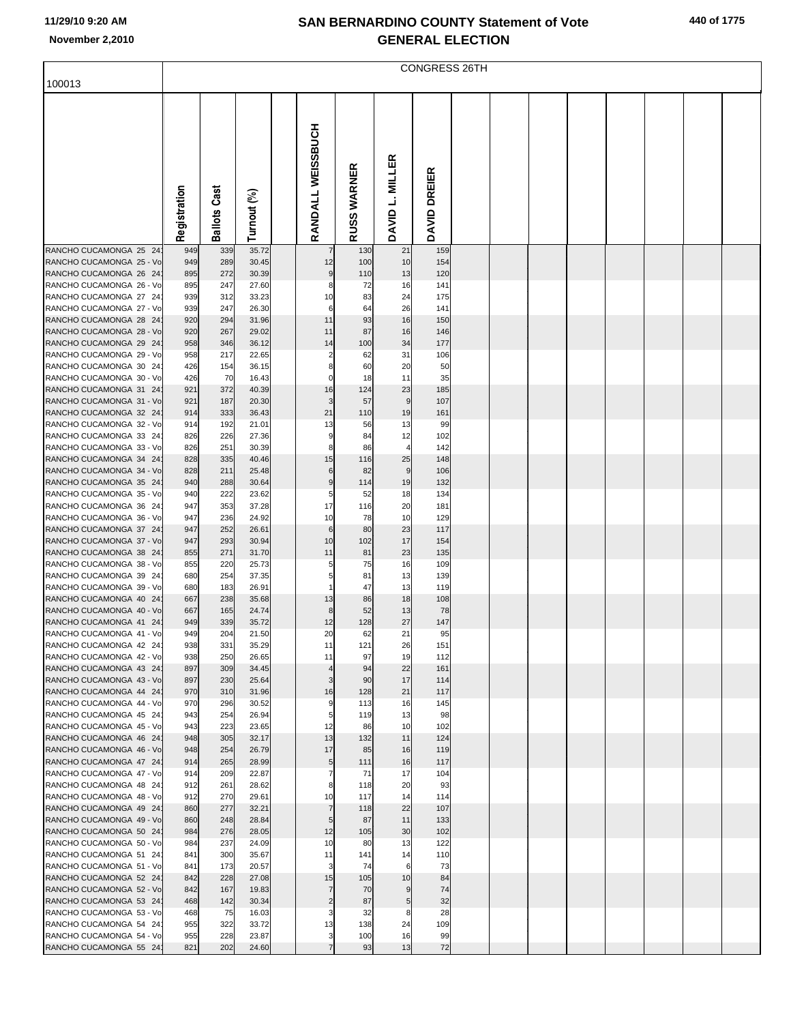|  |  | 440 of 1775 |
|--|--|-------------|
|--|--|-------------|

|                                                    |              | <b>CONGRESS 26TH</b> |                |  |                        |                    |                     |              |  |  |  |  |  |  |
|----------------------------------------------------|--------------|----------------------|----------------|--|------------------------|--------------------|---------------------|--------------|--|--|--|--|--|--|
| 100013                                             |              |                      |                |  |                        |                    |                     |              |  |  |  |  |  |  |
|                                                    |              |                      |                |  |                        |                    |                     |              |  |  |  |  |  |  |
|                                                    |              |                      |                |  | RANDALL WEISSBUCH      |                    |                     |              |  |  |  |  |  |  |
|                                                    |              |                      |                |  |                        |                    | DAVID L. MILLER     |              |  |  |  |  |  |  |
|                                                    |              |                      |                |  |                        | <b>RUSS WARNER</b> |                     | DAVID DREIER |  |  |  |  |  |  |
|                                                    | Registration | <b>Ballots Cast</b>  | Turnout (%)    |  |                        |                    |                     |              |  |  |  |  |  |  |
|                                                    |              |                      |                |  |                        |                    |                     |              |  |  |  |  |  |  |
| RANCHO CUCAMONGA 25 24                             | 949          | 339                  | 35.72          |  |                        | 130                | 21                  | 159          |  |  |  |  |  |  |
| RANCHO CUCAMONGA 25 - Vo<br>RANCHO CUCAMONGA 26 24 | 949<br>895   | 289<br>272           | 30.45<br>30.39 |  | 12<br>$\boldsymbol{9}$ | 100<br>110         | 10<br>13            | 154<br>120   |  |  |  |  |  |  |
| RANCHO CUCAMONGA 26 - Vo                           | 895          | 247                  | 27.60          |  | 8                      | 72                 | 16                  | 141          |  |  |  |  |  |  |
| RANCHO CUCAMONGA 27 24<br>RANCHO CUCAMONGA 27 - Vo | 939<br>939   | 312<br>247           | 33.23<br>26.30 |  | 10<br>6                | 83<br>64           | 24<br>26            | 175<br>141   |  |  |  |  |  |  |
| RANCHO CUCAMONGA 28 24                             | 920          | 294                  | 31.96          |  | 11                     | 93                 | 16                  | 150          |  |  |  |  |  |  |
| RANCHO CUCAMONGA 28 - Vo                           | 920          | 267                  | 29.02          |  | 11                     | 87                 | 16                  | 146          |  |  |  |  |  |  |
| RANCHO CUCAMONGA 29 24                             | 958          | 346                  | 36.12          |  | 14                     | 100                | 34                  | 177          |  |  |  |  |  |  |
| RANCHO CUCAMONGA 29 - Vo<br>RANCHO CUCAMONGA 30 24 | 958<br>426   | 217<br>154           | 22.65<br>36.15 |  | 2<br>8                 | 62<br>60           | 31<br>20            | 106<br>50    |  |  |  |  |  |  |
| RANCHO CUCAMONGA 30 - Vo                           | 426          | 70                   | 16.43          |  | 0                      | 18                 | 11                  | 35           |  |  |  |  |  |  |
| RANCHO CUCAMONGA 31 24                             | 921          | 372                  | 40.39          |  | 16                     | 124                | 23                  | 185          |  |  |  |  |  |  |
| RANCHO CUCAMONGA 31 - Vo                           | 921          | 187                  | 20.30          |  | 3                      | 57                 | $\boldsymbol{9}$    | 107          |  |  |  |  |  |  |
| RANCHO CUCAMONGA 32 24<br>RANCHO CUCAMONGA 32 - Vo | 914          | 333                  | 36.43          |  | 21                     | 110                | 19                  | 161          |  |  |  |  |  |  |
| RANCHO CUCAMONGA 33 24                             | 914<br>826   | 192<br>226           | 21.01<br>27.36 |  | 13<br>9                | 56<br>84           | 13<br>12            | 99<br>102    |  |  |  |  |  |  |
| RANCHO CUCAMONGA 33 - Vo                           | 826          | 251                  | 30.39          |  | 8                      | 86                 | $\overline{4}$      | 142          |  |  |  |  |  |  |
| RANCHO CUCAMONGA 34 24                             | 828          | 335                  | 40.46          |  | 15                     | 116                | 25                  | 148          |  |  |  |  |  |  |
| RANCHO CUCAMONGA 34 - Vo                           | 828          | 211                  | 25.48          |  | 6                      | 82                 | $\boldsymbol{9}$    | 106          |  |  |  |  |  |  |
| RANCHO CUCAMONGA 35 24<br>RANCHO CUCAMONGA 35 - Vo | 940<br>940   | 288<br>222           | 30.64<br>23.62 |  | $\boldsymbol{9}$<br>5  | 114<br>52          | 19<br>18            | 132<br>134   |  |  |  |  |  |  |
| RANCHO CUCAMONGA 36 24                             | 947          | 353                  | 37.28          |  | 17                     | 116                | 20                  | 181          |  |  |  |  |  |  |
| RANCHO CUCAMONGA 36 - Vo                           | 947          | 236                  | 24.92          |  | 10                     | 78                 | 10                  | 129          |  |  |  |  |  |  |
| RANCHO CUCAMONGA 37 24                             | 947          | 252                  | 26.61          |  | $\,6$                  | 80                 | 23                  | 117          |  |  |  |  |  |  |
| RANCHO CUCAMONGA 37 - Vo<br>RANCHO CUCAMONGA 38 24 | 947<br>855   | 293<br>271           | 30.94<br>31.70 |  | 10<br>11               | 102<br>81          | 17<br>23            | 154<br>135   |  |  |  |  |  |  |
| RANCHO CUCAMONGA 38 - Vo                           | 855          | 220                  | 25.73          |  | 5                      | 75                 | 16                  | 109          |  |  |  |  |  |  |
| RANCHO CUCAMONGA 39 24                             | 680          | 254                  | 37.35          |  | 5                      | 81                 | 13                  | 139          |  |  |  |  |  |  |
| RANCHO CUCAMONGA 39 - Vo                           | 680          | 183                  | 26.91          |  | 1                      | 47                 | 13                  | 119          |  |  |  |  |  |  |
| RANCHO CUCAMONGA 40 24<br>RANCHO CUCAMONGA 40 - Vo | 667<br>667   | 238<br>165           | 35.68<br>24.74 |  | 13<br>8                | 86<br>52           | 18<br>13            | 108<br>78    |  |  |  |  |  |  |
| RANCHO CUCAMONGA 41 24                             | 949          | 339                  | 35.72          |  | 12                     | 128                | 27                  | 147          |  |  |  |  |  |  |
| RANCHO CUCAMONGA 41 - Vo                           | 949          | 204                  | 21.50          |  | 20                     | 62                 | 21                  | 95           |  |  |  |  |  |  |
| RANCHO CUCAMONGA 42 24                             | 938          | 331                  | 35.29          |  | 11                     | 121                | 26                  | 151          |  |  |  |  |  |  |
| RANCHO CUCAMONGA 42 - Vo<br>RANCHO CUCAMONGA 43 24 | 938<br>897   | 250<br>309           | 26.65<br>34.45 |  | 11<br>4                | 97<br>94           | 19<br>22            | 112<br>161   |  |  |  |  |  |  |
| RANCHO CUCAMONGA 43 - Vo                           | 897          | 230                  | 25.64          |  | 3                      | 90                 | 17                  | 114          |  |  |  |  |  |  |
| RANCHO CUCAMONGA 44 24                             | 970          | 310                  | 31.96          |  | 16                     | 128                | 21                  | 117          |  |  |  |  |  |  |
| RANCHO CUCAMONGA 44 - Vo<br>RANCHO CUCAMONGA 45 24 | 970<br>943   | 296<br>254           | 30.52<br>26.94 |  | 9<br>5                 | 113                | 16<br>13            | 145<br>98    |  |  |  |  |  |  |
| RANCHO CUCAMONGA 45 - Vo                           | 943          | 223                  | 23.65          |  | 12                     | 119<br>86          | 10                  | 102          |  |  |  |  |  |  |
| RANCHO CUCAMONGA 46 24                             | 948          | 305                  | 32.17          |  | 13                     | 132                | 11                  | 124          |  |  |  |  |  |  |
| RANCHO CUCAMONGA 46 - Vo                           | 948          | 254                  | 26.79          |  | 17                     | 85                 | 16                  | 119          |  |  |  |  |  |  |
| RANCHO CUCAMONGA 47 24<br>RANCHO CUCAMONGA 47 - Vo | 914          | 265<br>209           | 28.99<br>22.87 |  | $\overline{5}$<br>7    | 111                | 16<br>17            | 117          |  |  |  |  |  |  |
| RANCHO CUCAMONGA 48 24                             | 914<br>912   | 261                  | 28.62          |  | 8                      | 71<br>118          | 20                  | 104<br>93    |  |  |  |  |  |  |
| RANCHO CUCAMONGA 48 - Vo                           | 912          | 270                  | 29.61          |  | 10                     | 117                | 14                  | 114          |  |  |  |  |  |  |
| RANCHO CUCAMONGA 49 24                             | 860          | 277                  | 32.21          |  | $\overline{7}$         | 118                | 22                  | 107          |  |  |  |  |  |  |
| RANCHO CUCAMONGA 49 - Vo<br>RANCHO CUCAMONGA 50 24 | 860<br>984   | 248<br>276           | 28.84<br>28.05 |  | 5<br>12                | 87<br>105          | 11<br>30            | 133<br>102   |  |  |  |  |  |  |
| RANCHO CUCAMONGA 50 - Vo                           | 984          | 237                  | 24.09          |  | 10                     | 80                 | 13                  | 122          |  |  |  |  |  |  |
| RANCHO CUCAMONGA 51 24                             | 841          | 300                  | 35.67          |  | 11                     | 141                | 14                  | 110          |  |  |  |  |  |  |
| RANCHO CUCAMONGA 51 - Vo                           | 841          | 173                  | 20.57          |  | 3                      | 74                 | 6                   | 73           |  |  |  |  |  |  |
| RANCHO CUCAMONGA 52 24                             | 842          | 228<br>167           | 27.08          |  | 15<br>$\overline{7}$   | 105                | 10                  | 84           |  |  |  |  |  |  |
| RANCHO CUCAMONGA 52 - Vo<br>RANCHO CUCAMONGA 53 24 | 842<br>468   | 142                  | 19.83<br>30.34 |  | $\overline{c}$         | 70<br>87           | 9<br>5 <sub>5</sub> | 74<br>32     |  |  |  |  |  |  |
| RANCHO CUCAMONGA 53 - Vo                           | 468          | 75                   | 16.03          |  | 3                      | 32                 | 8                   | 28           |  |  |  |  |  |  |
| RANCHO CUCAMONGA 54 24                             | 955          | 322                  | 33.72          |  | 13                     | 138                | 24                  | 109          |  |  |  |  |  |  |
| RANCHO CUCAMONGA 54 - Vo                           | 955          | 228                  | 23.87          |  | 3                      | 100                | 16                  | 99           |  |  |  |  |  |  |
| RANCHO CUCAMONGA 55 24                             | 821          | 202                  | 24.60          |  | $\overline{7}$         | 93                 | 13                  | 72           |  |  |  |  |  |  |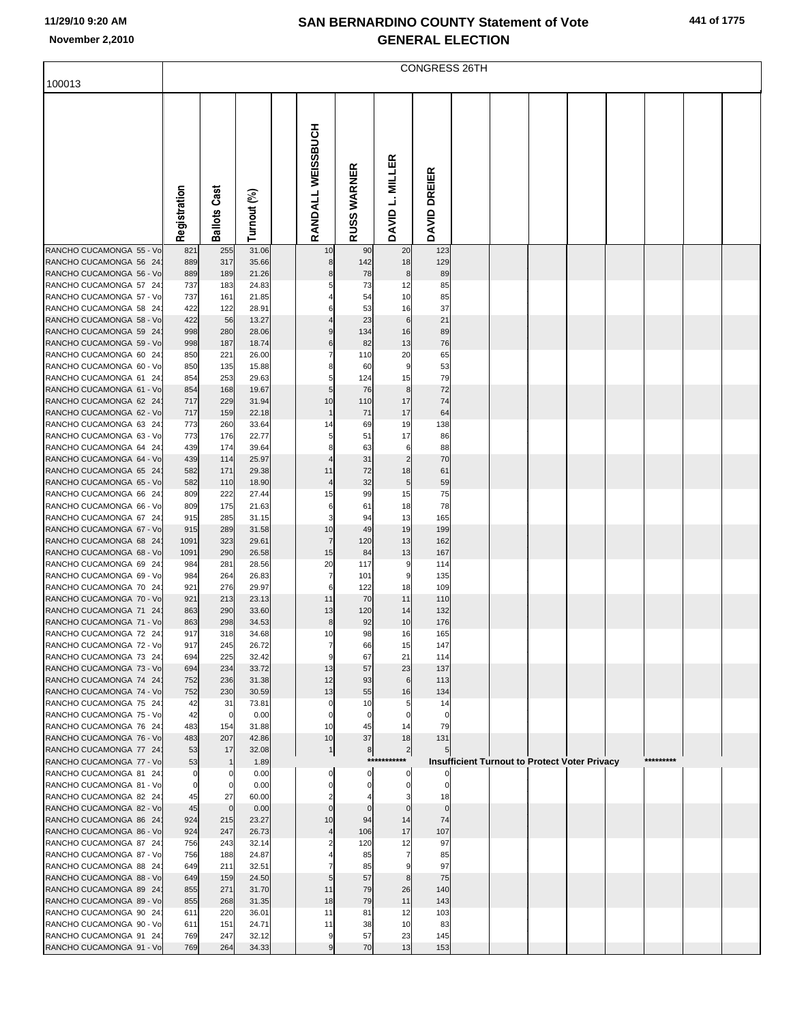| 441 of 1775 |
|-------------|
|             |

| 100013                                             |              | CONGRESS 26TH       |                |  |                      |                    |                      |                   |  |  |  |                                               |           |  |
|----------------------------------------------------|--------------|---------------------|----------------|--|----------------------|--------------------|----------------------|-------------------|--|--|--|-----------------------------------------------|-----------|--|
|                                                    |              |                     |                |  |                      |                    |                      |                   |  |  |  |                                               |           |  |
|                                                    |              |                     |                |  |                      |                    |                      |                   |  |  |  |                                               |           |  |
|                                                    |              |                     |                |  | RANDALL WEISSBUCH    |                    |                      |                   |  |  |  |                                               |           |  |
|                                                    |              |                     |                |  |                      |                    |                      |                   |  |  |  |                                               |           |  |
|                                                    |              |                     |                |  |                      |                    | <b>MILLER</b>        |                   |  |  |  |                                               |           |  |
|                                                    |              |                     |                |  |                      |                    |                      |                   |  |  |  |                                               |           |  |
|                                                    |              |                     |                |  |                      |                    | نہ                   |                   |  |  |  |                                               |           |  |
|                                                    | Registration | <b>Ballots Cast</b> | Turnout (%)    |  |                      | <b>RUSS WARNER</b> |                      | DAVID DREIER      |  |  |  |                                               |           |  |
|                                                    |              |                     |                |  |                      |                    | <b>DAVID</b>         |                   |  |  |  |                                               |           |  |
| RANCHO CUCAMONGA 55 - Vo                           | 821          | 255                 | 31.06          |  | 10                   | 90                 | 20                   | 123               |  |  |  |                                               |           |  |
| RANCHO CUCAMONGA 56 24<br>RANCHO CUCAMONGA 56 - Vo | 889<br>889   | 317<br>189          | 35.66<br>21.26 |  | 8<br>8               | 142<br>78          | 18<br>8              | 129<br>89         |  |  |  |                                               |           |  |
| RANCHO CUCAMONGA 57 24                             | 737          | 183                 | 24.83          |  | 5                    | 73                 | 12                   | 85                |  |  |  |                                               |           |  |
| RANCHO CUCAMONGA 57 - Vo                           | 737          | 161                 | 21.85          |  |                      | 54                 | 10                   | 85                |  |  |  |                                               |           |  |
| RANCHO CUCAMONGA 58 24<br>RANCHO CUCAMONGA 58 - Vo | 422<br>422   | 122<br>56           | 28.91<br>13.27 |  | 6                    | 53<br>23           | 16<br>$6 \mid$       | 37<br>21          |  |  |  |                                               |           |  |
| RANCHO CUCAMONGA 59 24                             | 998          | 280                 | 28.06          |  | 9                    | 134                | 16                   | 89                |  |  |  |                                               |           |  |
| RANCHO CUCAMONGA 59 - Vo<br>RANCHO CUCAMONGA 60 24 | 998<br>850   | 187<br>221          | 18.74<br>26.00 |  | 6<br>$\overline{7}$  | 82<br>110          | 13<br>20             | 76<br>65          |  |  |  |                                               |           |  |
| RANCHO CUCAMONGA 60 - Vo                           | 850          | 135                 | 15.88          |  | 8                    | 60                 | 9                    | 53                |  |  |  |                                               |           |  |
| RANCHO CUCAMONGA 61 24                             | 854          | 253                 | 29.63          |  | 5                    | 124                | 15                   | 79                |  |  |  |                                               |           |  |
| RANCHO CUCAMONGA 61 - Vo<br>RANCHO CUCAMONGA 62 24 | 854<br>717   | 168<br>229          | 19.67<br>31.94 |  | 5 <sub>l</sub><br>10 | 76<br>110          | 8<br>17              | 72<br>74          |  |  |  |                                               |           |  |
| RANCHO CUCAMONGA 62 - Vo                           | 717          | 159                 | 22.18          |  | $\mathbf 1$          | 71                 | 17                   | 64                |  |  |  |                                               |           |  |
| RANCHO CUCAMONGA 63 24<br>RANCHO CUCAMONGA 63 - Vo | 773<br>773   | 260<br>176          | 33.64<br>22.77 |  | 14<br>5              | 69<br>51           | 19<br>17             | 138<br>86         |  |  |  |                                               |           |  |
| RANCHO CUCAMONGA 64 24                             | 439          | 174                 | 39.64          |  | 8                    | 63                 | 6                    | 88                |  |  |  |                                               |           |  |
| RANCHO CUCAMONGA 64 - Vo                           | 439          | 114                 | 25.97          |  |                      | 31                 | $\overline{2}$       | 70                |  |  |  |                                               |           |  |
| RANCHO CUCAMONGA 65 24<br>RANCHO CUCAMONGA 65 - Vo | 582<br>582   | 171<br>110          | 29.38<br>18.90 |  | 11<br>4              | 72<br>32           | 18<br>5              | 61<br>59          |  |  |  |                                               |           |  |
| RANCHO CUCAMONGA 66 24                             | 809          | 222                 | 27.44          |  | 15                   | 99                 | 15                   | 75                |  |  |  |                                               |           |  |
| RANCHO CUCAMONGA 66 - Vo                           | 809          | 175                 | 21.63          |  | 6                    | 61                 | 18                   | 78                |  |  |  |                                               |           |  |
| RANCHO CUCAMONGA 67 24<br>RANCHO CUCAMONGA 67 - Vo | 915<br>915   | 285<br>289          | 31.15<br>31.58 |  | 3<br>10              | 94<br>49           | 13<br>19             | 165<br>199        |  |  |  |                                               |           |  |
| RANCHO CUCAMONGA 68 24                             | 1091         | 323                 | 29.61          |  | $\overline{7}$       | 120                | 13                   | 162               |  |  |  |                                               |           |  |
| RANCHO CUCAMONGA 68 - Vo<br>RANCHO CUCAMONGA 69 24 | 1091<br>984  | 290<br>281          | 26.58<br>28.56 |  | 15<br>20             | 84<br>117          | 13<br>9              | 167<br>114        |  |  |  |                                               |           |  |
| RANCHO CUCAMONGA 69 - Vo                           | 984          | 264                 | 26.83          |  | 7                    | 101                | 9                    | 135               |  |  |  |                                               |           |  |
| RANCHO CUCAMONGA 70 24<br>RANCHO CUCAMONGA 70 - Vo | 921          | 276                 | 29.97          |  | 6<br>11              | 122<br>70          | 18<br>11             | 109               |  |  |  |                                               |           |  |
| RANCHO CUCAMONGA 71 24                             | 921<br>863   | 213<br>290          | 23.13<br>33.60 |  | 13                   | 120                | 14                   | 110<br>132        |  |  |  |                                               |           |  |
| RANCHO CUCAMONGA 71 - Vo                           | 863          | 298                 | 34.53          |  | 8                    | 92                 | 10                   | 176               |  |  |  |                                               |           |  |
| RANCHO CUCAMONGA 72 24<br>RANCHO CUCAMONGA 72 - Vo | 917<br>917   | 318<br>245          | 34.68<br>26.72 |  | 10                   | 98<br>66           | 16<br>15             | 165<br>147        |  |  |  |                                               |           |  |
| RANCHO CUCAMONGA 73 24                             | 694          | 225                 | 32.42          |  | 9                    | 67                 | 21                   | 114               |  |  |  |                                               |           |  |
| RANCHO CUCAMONGA 73 - Vo                           | 694          | 234                 | 33.72          |  | 13                   | 57                 | 23                   | 137               |  |  |  |                                               |           |  |
| RANCHO CUCAMONGA 74 24<br>RANCHO CUCAMONGA 74 - Vo | 752<br>752   | 236<br>230          | 31.38<br>30.59 |  | 12<br>13             | 93<br>55           | 6<br>16              | 113<br>134        |  |  |  |                                               |           |  |
| RANCHO CUCAMONGA 75 24                             | 42           | 31                  | 73.81          |  | 0                    | 10                 | 5                    | 14                |  |  |  |                                               |           |  |
| RANCHO CUCAMONGA 75 - Vo<br>RANCHO CUCAMONGA 76 24 | 42<br>483    | $\mathbf 0$<br>154  | 0.00<br>31.88  |  | 0<br>10              | 0<br>45            | 0<br>14              | 0<br>79           |  |  |  |                                               |           |  |
| RANCHO CUCAMONGA 76 - Vo                           | 483          | 207                 | 42.86          |  | 10                   | 37                 | 18                   | 131               |  |  |  |                                               |           |  |
| RANCHO CUCAMONGA 77 24<br>RANCHO CUCAMONGA 77 - Vo | 53<br>53     | 17<br>$\mathbf{1}$  | 32.08<br>1.89  |  | 1                    | 8<br>****          | $\overline{2}$       | 5                 |  |  |  |                                               | ********* |  |
| RANCHO CUCAMONGA 81 24                             | 0            | 0                   | 0.00           |  | 0                    | 0                  |                      |                   |  |  |  | Insufficient Turnout to Protect Voter Privacy |           |  |
| RANCHO CUCAMONGA 81 - Vo                           | 0            | $\mathbf 0$         | 0.00           |  |                      |                    | 0                    |                   |  |  |  |                                               |           |  |
| RANCHO CUCAMONGA 82 24<br>RANCHO CUCAMONGA 82 - Vo | 45<br>45     | 27<br>$\mathbf 0$   | 60.00<br>0.00  |  |                      | $\mathbf{0}$       | 3<br>0               | 18<br>$\mathbf 0$ |  |  |  |                                               |           |  |
| RANCHO CUCAMONGA 86 24                             | 924          | 215                 | 23.27          |  | 10                   | 94                 | 14                   | 74                |  |  |  |                                               |           |  |
| RANCHO CUCAMONGA 86 - Vo                           | 924          | 247                 | 26.73          |  |                      | 106                | 17                   | 107               |  |  |  |                                               |           |  |
| RANCHO CUCAMONGA 87 24<br>RANCHO CUCAMONGA 87 - Vo | 756<br>756   | 243<br>188          | 32.14<br>24.87 |  |                      | 120<br>85          | 12<br>7              | 97<br>85          |  |  |  |                                               |           |  |
| RANCHO CUCAMONGA 88 24                             | 649          | 211                 | 32.51          |  |                      | 85                 | 9                    | 97                |  |  |  |                                               |           |  |
| RANCHO CUCAMONGA 88 - Vo<br>RANCHO CUCAMONGA 89 24 | 649<br>855   | 159<br>271          | 24.50<br>31.70 |  | 5<br>11              | 57<br>79           | 8 <sup>1</sup><br>26 | 75<br>140         |  |  |  |                                               |           |  |
| RANCHO CUCAMONGA 89 - Vo                           | 855          | 268                 | 31.35          |  | 18                   | 79                 | 11                   | 143               |  |  |  |                                               |           |  |
| RANCHO CUCAMONGA 90 24<br>RANCHO CUCAMONGA 90 - Vo | 611<br>611   | 220<br>151          | 36.01<br>24.71 |  | 11<br>11             | 81<br>38           | 12<br>10             | 103<br>83         |  |  |  |                                               |           |  |
| RANCHO CUCAMONGA 91 24                             | 769          | 247                 | 32.12          |  | 9                    | 57                 | 23                   | 145               |  |  |  |                                               |           |  |
| RANCHO CUCAMONGA 91 - Vo                           | 769          | 264                 | 34.33          |  | 9                    | 70                 | 13                   | 153               |  |  |  |                                               |           |  |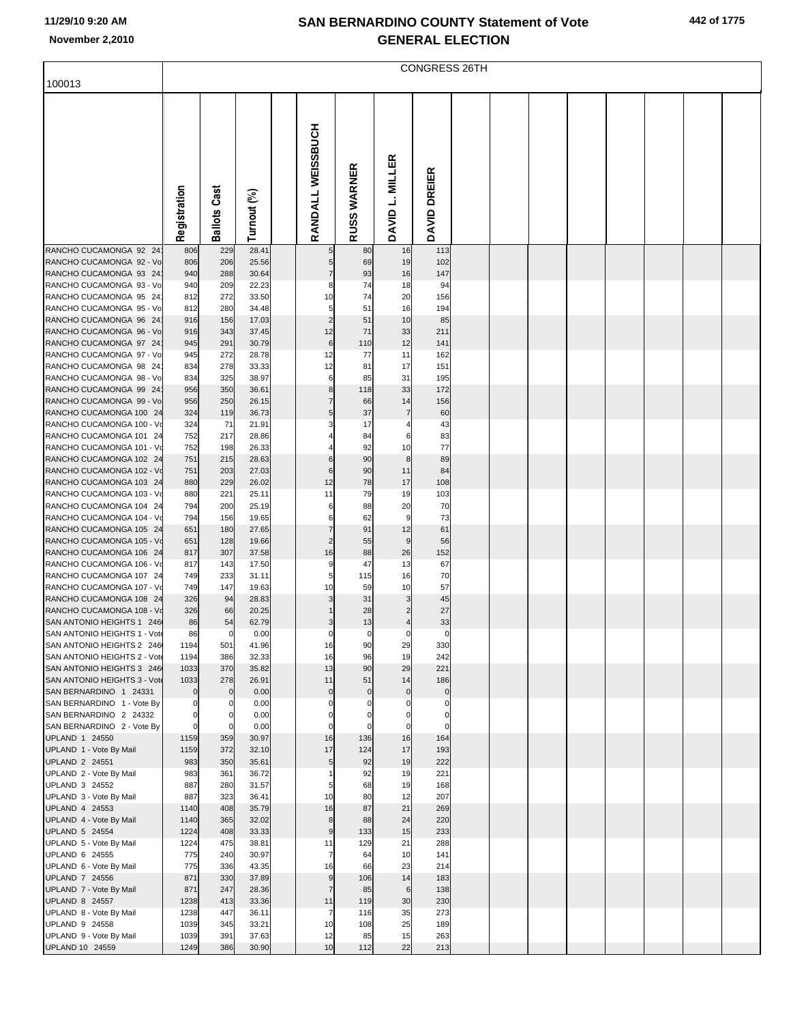| 442 of 1775 |  |  |  |
|-------------|--|--|--|
|-------------|--|--|--|

| RANDALL WEISSBUCH<br>DAVID L. MILLER<br>RUSS WARNER<br>DAVID DREIER<br>Cast<br>Registration<br>Turnout (%)<br>Ballots<br>28.41<br>RANCHO CUCAMONGA 92 24<br>229<br>806<br>80<br>16<br>113<br>19<br>RANCHO CUCAMONGA 92 - Vo<br>806<br>206<br>25.56<br>69<br>102<br>5<br>93<br>147<br>RANCHO CUCAMONGA 93 24<br>940<br>288<br>30.64<br>$\overline{7}$<br>16<br>74<br>RANCHO CUCAMONGA 93 - Vo<br>940<br>209<br>22.23<br>18<br>94<br>8<br>74<br>RANCHO CUCAMONGA 95 24<br>812<br>272<br>33.50<br>10<br>20<br>156<br>51<br>16<br>RANCHO CUCAMONGA 95 - Vo<br>812<br>280<br>34.48<br>5<br>194<br>$\overline{2}$<br>10<br>RANCHO CUCAMONGA 96 24<br>916<br>156<br>17.03<br>51<br>85<br>RANCHO CUCAMONGA 96 - Vo<br>343<br>12<br>71<br>33<br>211<br>916<br>37.45<br>$\,$ 6<br>RANCHO CUCAMONGA 97 24<br>291<br>30.79<br>110<br>12<br>141<br>945<br>11<br>RANCHO CUCAMONGA 97 - Vo<br>945<br>272<br>28.78<br>12<br>77<br>162<br>RANCHO CUCAMONGA 98 24<br>278<br>12<br>81<br>17<br>151<br>834<br>33.33<br>RANCHO CUCAMONGA 98 - Vo<br>834<br>325<br>38.97<br>6<br>85<br>31<br>195<br>118<br>RANCHO CUCAMONGA 99 24<br>956<br>350<br>36.61<br>8<br>33<br>172<br>RANCHO CUCAMONGA 99 - Vo<br>956<br>250<br>$\overline{7}$<br>66<br>14<br>156<br>26.15<br>RANCHO CUCAMONGA 100 24<br>324<br>119<br>5<br>37<br>$\overline{7}$<br>60<br>36.73<br>RANCHO CUCAMONGA 100 - Vo<br>324<br>71<br>17<br>43<br>21.91<br>3<br>4<br>RANCHO CUCAMONGA 101 24<br>752<br>217<br>84<br>83<br>28.86<br>6<br>77<br>RANCHO CUCAMONGA 101 - Vo<br>752<br>198<br>26.33<br>92<br>10<br>90<br>RANCHO CUCAMONGA 102 24<br>751<br>215<br>28.63<br>8<br>89<br>6<br>90<br>RANCHO CUCAMONGA 102 - Vo<br>751<br>203<br>27.03<br>$6\phantom{1}6$<br>11<br>84<br>12<br>78<br>RANCHO CUCAMONGA 103 24<br>880<br>229<br>26.02<br>17<br>108<br>79<br>RANCHO CUCAMONGA 103 - Vo<br>880<br>221<br>11<br>19<br>103<br>25.11<br>RANCHO CUCAMONGA 104 24<br>794<br>200<br>88<br>20<br>70<br>25.19<br>6<br>RANCHO CUCAMONGA 104 - Vo<br>794<br>156<br>19.65<br>62<br>9<br>73<br>6<br>91<br>RANCHO CUCAMONGA 105 24<br>651<br>180<br>$\overline{7}$<br>12<br>61<br>27.65<br>RANCHO CUCAMONGA 105 - Vo<br>651<br>128<br>$\overline{2}$<br>55<br>9<br>56<br>19.66<br>16<br>RANCHO CUCAMONGA 106 24<br>307<br>88<br>26<br>152<br>817<br>37.58<br>13<br>RANCHO CUCAMONGA 106 - Vo<br>143<br>9<br>47<br>67<br>817<br>17.50<br>RANCHO CUCAMONGA 107 24<br>749<br>233<br>5<br>115<br>16<br>70<br>31.11<br>10<br>57<br>RANCHO CUCAMONGA 107 - Vo<br>749<br>147<br>19.63<br>10<br>59<br>RANCHO CUCAMONGA 108 24<br>326<br>94<br>28.83<br>31<br>3<br>45<br>3<br>RANCHO CUCAMONGA 108 - Vo<br>326<br>20.25<br>28<br>27<br>66<br>$\overline{2}$<br>SAN ANTONIO HEIGHTS 1 246<br>54<br>62.79<br>13<br>33<br>86<br>$\overline{4}$<br>3<br>SAN ANTONIO HEIGHTS 1 - Vote<br>86<br>0.00<br>$\mathbf 0$<br>$\mathbf 0$<br>$\mathbf 0$<br>0<br>C<br>SAN ANTONIO HEIGHTS 2 246<br>1194<br>501<br>41.96<br>16<br>90<br>29<br>330<br>19<br>SAN ANTONIO HEIGHTS 2 - Vote<br>1194<br>386<br>32.33<br>16<br>96<br>242<br>370<br>13<br>90<br>29<br>221<br>SAN ANTONIO HEIGHTS 3 246<br>1033<br>35.82<br>11<br>SAN ANTONIO HEIGHTS 3 - Vote<br>1033<br>278<br>26.91<br>51<br>14<br>186<br>SAN BERNARDINO 1 24331<br>0.00<br>$\pmb{0}$<br>$\mathbf 0$<br>$\mathbf 0$<br>$\mathbf 0$<br>$\overline{0}$<br>0<br>SAN BERNARDINO 1 - Vote By<br>0.00<br>$\Omega$<br>$\Omega$<br>$\mathsf{C}$<br>0<br>0<br>$\Omega$<br>SAN BERNARDINO 2 24332<br>0.00<br>$\Omega$<br>$\Omega$<br>$\Omega$<br>0<br>0<br>$\Omega$<br>0.00<br>SAN BERNARDINO 2 - Vote By<br>0<br>$\Omega$<br>$\Omega$<br>$\Omega$<br>$\Omega$<br>$\Omega$<br>UPLAND 1 24550<br>1159<br>359<br>30.97<br>16<br>136<br>16<br>164<br>372<br>17<br>124<br>17<br>UPLAND 1 - Vote By Mail<br>1159<br>32.10<br>193<br>350<br>19<br>222<br>UPLAND 2 24551<br>983<br>35.61<br>5<br>92<br>19<br>221<br>UPLAND 2 - Vote By Mail<br>983<br>361<br>36.72<br>92<br>19<br>UPLAND 3 24552<br>887<br>280<br>31.57<br>68<br>168<br>5<br>UPLAND 3 - Vote By Mail<br>323<br>12<br>207<br>887<br>36.41<br>10<br>80<br>87<br>21<br>UPLAND 4 24553<br>1140<br>408<br>35.79<br>16<br>269<br>UPLAND 4 - Vote By Mail<br>1140<br>365<br>32.02<br>8<br>88<br>24<br>220<br>15<br>UPLAND 5 24554<br>1224<br>408<br>33.33<br>$\boldsymbol{9}$<br>133<br>233<br>288<br>UPLAND 5 - Vote By Mail<br>1224<br>475<br>38.81<br>129<br>21<br>11<br>UPLAND 6 24555<br>775<br>240<br>30.97<br>$\overline{7}$<br>64<br>10<br>141<br>23<br>UPLAND 6 - Vote By Mail<br>775<br>336<br>43.35<br>16<br>66<br>214<br>330<br>14<br>UPLAND 7 24556<br>871<br>37.89<br>$\boldsymbol{9}$<br>106<br>183<br>UPLAND 7 - Vote By Mail<br>871<br>247<br>28.36<br>$\overline{7}$<br>85<br>$\,6$<br>138<br>230<br><b>UPLAND 8 24557</b><br>1238<br>413<br>33.36<br>11<br>119<br>30<br>35<br>UPLAND 8 - Vote By Mail<br>1238<br>447<br>36.11<br>116<br>273<br>7<br>25<br>UPLAND 9 24558<br>1039<br>345<br>33.21<br>10<br>108<br>189<br>UPLAND 9 - Vote By Mail<br>37.63<br>15<br>1039<br>391<br>12<br>85<br>263 | 100013 | <b>CONGRESS 26TH</b> |  |  |  |  |  |  |  |  |  |  |  |  |
|-------------------------------------------------------------------------------------------------------------------------------------------------------------------------------------------------------------------------------------------------------------------------------------------------------------------------------------------------------------------------------------------------------------------------------------------------------------------------------------------------------------------------------------------------------------------------------------------------------------------------------------------------------------------------------------------------------------------------------------------------------------------------------------------------------------------------------------------------------------------------------------------------------------------------------------------------------------------------------------------------------------------------------------------------------------------------------------------------------------------------------------------------------------------------------------------------------------------------------------------------------------------------------------------------------------------------------------------------------------------------------------------------------------------------------------------------------------------------------------------------------------------------------------------------------------------------------------------------------------------------------------------------------------------------------------------------------------------------------------------------------------------------------------------------------------------------------------------------------------------------------------------------------------------------------------------------------------------------------------------------------------------------------------------------------------------------------------------------------------------------------------------------------------------------------------------------------------------------------------------------------------------------------------------------------------------------------------------------------------------------------------------------------------------------------------------------------------------------------------------------------------------------------------------------------------------------------------------------------------------------------------------------------------------------------------------------------------------------------------------------------------------------------------------------------------------------------------------------------------------------------------------------------------------------------------------------------------------------------------------------------------------------------------------------------------------------------------------------------------------------------------------------------------------------------------------------------------------------------------------------------------------------------------------------------------------------------------------------------------------------------------------------------------------------------------------------------------------------------------------------------------------------------------------------------------------------------------------------------------------------------------------------------------------------------------------------------------------------------------------------------------------------------------------------------------------------------------------------------------------------------------------------------------------------------------------------------------------------------------------------------------------------------------------------------------------------------------------------------------------------------------------------------------------------------------------------------------------------------------------------------------------------------------------------------------------------------------------------------------------------------------------------------------------------------------------------------------------------------------------------------------------------------------------------------------------------------------------------------------------------------------------------------------------------------------------------------------------------------------------------------------------------------------------------------------------------------------------------------------------------------------------------------------------------------------------------------------------------------------------------------------------------------|--------|----------------------|--|--|--|--|--|--|--|--|--|--|--|--|
|                                                                                                                                                                                                                                                                                                                                                                                                                                                                                                                                                                                                                                                                                                                                                                                                                                                                                                                                                                                                                                                                                                                                                                                                                                                                                                                                                                                                                                                                                                                                                                                                                                                                                                                                                                                                                                                                                                                                                                                                                                                                                                                                                                                                                                                                                                                                                                                                                                                                                                                                                                                                                                                                                                                                                                                                                                                                                                                                                                                                                                                                                                                                                                                                                                                                                                                                                                                                                                                                                                                                                                                                                                                                                                                                                                                                                                                                                                                                                                                                                                                                                                                                                                                                                                                                                                                                                                                                                                                                                                                                                                                                                                                                                                                                                                                                                                                                                                                                                                                                                               |        |                      |  |  |  |  |  |  |  |  |  |  |  |  |
|                                                                                                                                                                                                                                                                                                                                                                                                                                                                                                                                                                                                                                                                                                                                                                                                                                                                                                                                                                                                                                                                                                                                                                                                                                                                                                                                                                                                                                                                                                                                                                                                                                                                                                                                                                                                                                                                                                                                                                                                                                                                                                                                                                                                                                                                                                                                                                                                                                                                                                                                                                                                                                                                                                                                                                                                                                                                                                                                                                                                                                                                                                                                                                                                                                                                                                                                                                                                                                                                                                                                                                                                                                                                                                                                                                                                                                                                                                                                                                                                                                                                                                                                                                                                                                                                                                                                                                                                                                                                                                                                                                                                                                                                                                                                                                                                                                                                                                                                                                                                                               |        |                      |  |  |  |  |  |  |  |  |  |  |  |  |
|                                                                                                                                                                                                                                                                                                                                                                                                                                                                                                                                                                                                                                                                                                                                                                                                                                                                                                                                                                                                                                                                                                                                                                                                                                                                                                                                                                                                                                                                                                                                                                                                                                                                                                                                                                                                                                                                                                                                                                                                                                                                                                                                                                                                                                                                                                                                                                                                                                                                                                                                                                                                                                                                                                                                                                                                                                                                                                                                                                                                                                                                                                                                                                                                                                                                                                                                                                                                                                                                                                                                                                                                                                                                                                                                                                                                                                                                                                                                                                                                                                                                                                                                                                                                                                                                                                                                                                                                                                                                                                                                                                                                                                                                                                                                                                                                                                                                                                                                                                                                                               |        |                      |  |  |  |  |  |  |  |  |  |  |  |  |
|                                                                                                                                                                                                                                                                                                                                                                                                                                                                                                                                                                                                                                                                                                                                                                                                                                                                                                                                                                                                                                                                                                                                                                                                                                                                                                                                                                                                                                                                                                                                                                                                                                                                                                                                                                                                                                                                                                                                                                                                                                                                                                                                                                                                                                                                                                                                                                                                                                                                                                                                                                                                                                                                                                                                                                                                                                                                                                                                                                                                                                                                                                                                                                                                                                                                                                                                                                                                                                                                                                                                                                                                                                                                                                                                                                                                                                                                                                                                                                                                                                                                                                                                                                                                                                                                                                                                                                                                                                                                                                                                                                                                                                                                                                                                                                                                                                                                                                                                                                                                                               |        |                      |  |  |  |  |  |  |  |  |  |  |  |  |
|                                                                                                                                                                                                                                                                                                                                                                                                                                                                                                                                                                                                                                                                                                                                                                                                                                                                                                                                                                                                                                                                                                                                                                                                                                                                                                                                                                                                                                                                                                                                                                                                                                                                                                                                                                                                                                                                                                                                                                                                                                                                                                                                                                                                                                                                                                                                                                                                                                                                                                                                                                                                                                                                                                                                                                                                                                                                                                                                                                                                                                                                                                                                                                                                                                                                                                                                                                                                                                                                                                                                                                                                                                                                                                                                                                                                                                                                                                                                                                                                                                                                                                                                                                                                                                                                                                                                                                                                                                                                                                                                                                                                                                                                                                                                                                                                                                                                                                                                                                                                                               |        |                      |  |  |  |  |  |  |  |  |  |  |  |  |
|                                                                                                                                                                                                                                                                                                                                                                                                                                                                                                                                                                                                                                                                                                                                                                                                                                                                                                                                                                                                                                                                                                                                                                                                                                                                                                                                                                                                                                                                                                                                                                                                                                                                                                                                                                                                                                                                                                                                                                                                                                                                                                                                                                                                                                                                                                                                                                                                                                                                                                                                                                                                                                                                                                                                                                                                                                                                                                                                                                                                                                                                                                                                                                                                                                                                                                                                                                                                                                                                                                                                                                                                                                                                                                                                                                                                                                                                                                                                                                                                                                                                                                                                                                                                                                                                                                                                                                                                                                                                                                                                                                                                                                                                                                                                                                                                                                                                                                                                                                                                                               |        |                      |  |  |  |  |  |  |  |  |  |  |  |  |
|                                                                                                                                                                                                                                                                                                                                                                                                                                                                                                                                                                                                                                                                                                                                                                                                                                                                                                                                                                                                                                                                                                                                                                                                                                                                                                                                                                                                                                                                                                                                                                                                                                                                                                                                                                                                                                                                                                                                                                                                                                                                                                                                                                                                                                                                                                                                                                                                                                                                                                                                                                                                                                                                                                                                                                                                                                                                                                                                                                                                                                                                                                                                                                                                                                                                                                                                                                                                                                                                                                                                                                                                                                                                                                                                                                                                                                                                                                                                                                                                                                                                                                                                                                                                                                                                                                                                                                                                                                                                                                                                                                                                                                                                                                                                                                                                                                                                                                                                                                                                                               |        |                      |  |  |  |  |  |  |  |  |  |  |  |  |
|                                                                                                                                                                                                                                                                                                                                                                                                                                                                                                                                                                                                                                                                                                                                                                                                                                                                                                                                                                                                                                                                                                                                                                                                                                                                                                                                                                                                                                                                                                                                                                                                                                                                                                                                                                                                                                                                                                                                                                                                                                                                                                                                                                                                                                                                                                                                                                                                                                                                                                                                                                                                                                                                                                                                                                                                                                                                                                                                                                                                                                                                                                                                                                                                                                                                                                                                                                                                                                                                                                                                                                                                                                                                                                                                                                                                                                                                                                                                                                                                                                                                                                                                                                                                                                                                                                                                                                                                                                                                                                                                                                                                                                                                                                                                                                                                                                                                                                                                                                                                                               |        |                      |  |  |  |  |  |  |  |  |  |  |  |  |
|                                                                                                                                                                                                                                                                                                                                                                                                                                                                                                                                                                                                                                                                                                                                                                                                                                                                                                                                                                                                                                                                                                                                                                                                                                                                                                                                                                                                                                                                                                                                                                                                                                                                                                                                                                                                                                                                                                                                                                                                                                                                                                                                                                                                                                                                                                                                                                                                                                                                                                                                                                                                                                                                                                                                                                                                                                                                                                                                                                                                                                                                                                                                                                                                                                                                                                                                                                                                                                                                                                                                                                                                                                                                                                                                                                                                                                                                                                                                                                                                                                                                                                                                                                                                                                                                                                                                                                                                                                                                                                                                                                                                                                                                                                                                                                                                                                                                                                                                                                                                                               |        |                      |  |  |  |  |  |  |  |  |  |  |  |  |
|                                                                                                                                                                                                                                                                                                                                                                                                                                                                                                                                                                                                                                                                                                                                                                                                                                                                                                                                                                                                                                                                                                                                                                                                                                                                                                                                                                                                                                                                                                                                                                                                                                                                                                                                                                                                                                                                                                                                                                                                                                                                                                                                                                                                                                                                                                                                                                                                                                                                                                                                                                                                                                                                                                                                                                                                                                                                                                                                                                                                                                                                                                                                                                                                                                                                                                                                                                                                                                                                                                                                                                                                                                                                                                                                                                                                                                                                                                                                                                                                                                                                                                                                                                                                                                                                                                                                                                                                                                                                                                                                                                                                                                                                                                                                                                                                                                                                                                                                                                                                                               |        |                      |  |  |  |  |  |  |  |  |  |  |  |  |
|                                                                                                                                                                                                                                                                                                                                                                                                                                                                                                                                                                                                                                                                                                                                                                                                                                                                                                                                                                                                                                                                                                                                                                                                                                                                                                                                                                                                                                                                                                                                                                                                                                                                                                                                                                                                                                                                                                                                                                                                                                                                                                                                                                                                                                                                                                                                                                                                                                                                                                                                                                                                                                                                                                                                                                                                                                                                                                                                                                                                                                                                                                                                                                                                                                                                                                                                                                                                                                                                                                                                                                                                                                                                                                                                                                                                                                                                                                                                                                                                                                                                                                                                                                                                                                                                                                                                                                                                                                                                                                                                                                                                                                                                                                                                                                                                                                                                                                                                                                                                                               |        |                      |  |  |  |  |  |  |  |  |  |  |  |  |
|                                                                                                                                                                                                                                                                                                                                                                                                                                                                                                                                                                                                                                                                                                                                                                                                                                                                                                                                                                                                                                                                                                                                                                                                                                                                                                                                                                                                                                                                                                                                                                                                                                                                                                                                                                                                                                                                                                                                                                                                                                                                                                                                                                                                                                                                                                                                                                                                                                                                                                                                                                                                                                                                                                                                                                                                                                                                                                                                                                                                                                                                                                                                                                                                                                                                                                                                                                                                                                                                                                                                                                                                                                                                                                                                                                                                                                                                                                                                                                                                                                                                                                                                                                                                                                                                                                                                                                                                                                                                                                                                                                                                                                                                                                                                                                                                                                                                                                                                                                                                                               |        |                      |  |  |  |  |  |  |  |  |  |  |  |  |
|                                                                                                                                                                                                                                                                                                                                                                                                                                                                                                                                                                                                                                                                                                                                                                                                                                                                                                                                                                                                                                                                                                                                                                                                                                                                                                                                                                                                                                                                                                                                                                                                                                                                                                                                                                                                                                                                                                                                                                                                                                                                                                                                                                                                                                                                                                                                                                                                                                                                                                                                                                                                                                                                                                                                                                                                                                                                                                                                                                                                                                                                                                                                                                                                                                                                                                                                                                                                                                                                                                                                                                                                                                                                                                                                                                                                                                                                                                                                                                                                                                                                                                                                                                                                                                                                                                                                                                                                                                                                                                                                                                                                                                                                                                                                                                                                                                                                                                                                                                                                                               |        |                      |  |  |  |  |  |  |  |  |  |  |  |  |
|                                                                                                                                                                                                                                                                                                                                                                                                                                                                                                                                                                                                                                                                                                                                                                                                                                                                                                                                                                                                                                                                                                                                                                                                                                                                                                                                                                                                                                                                                                                                                                                                                                                                                                                                                                                                                                                                                                                                                                                                                                                                                                                                                                                                                                                                                                                                                                                                                                                                                                                                                                                                                                                                                                                                                                                                                                                                                                                                                                                                                                                                                                                                                                                                                                                                                                                                                                                                                                                                                                                                                                                                                                                                                                                                                                                                                                                                                                                                                                                                                                                                                                                                                                                                                                                                                                                                                                                                                                                                                                                                                                                                                                                                                                                                                                                                                                                                                                                                                                                                                               |        |                      |  |  |  |  |  |  |  |  |  |  |  |  |
|                                                                                                                                                                                                                                                                                                                                                                                                                                                                                                                                                                                                                                                                                                                                                                                                                                                                                                                                                                                                                                                                                                                                                                                                                                                                                                                                                                                                                                                                                                                                                                                                                                                                                                                                                                                                                                                                                                                                                                                                                                                                                                                                                                                                                                                                                                                                                                                                                                                                                                                                                                                                                                                                                                                                                                                                                                                                                                                                                                                                                                                                                                                                                                                                                                                                                                                                                                                                                                                                                                                                                                                                                                                                                                                                                                                                                                                                                                                                                                                                                                                                                                                                                                                                                                                                                                                                                                                                                                                                                                                                                                                                                                                                                                                                                                                                                                                                                                                                                                                                                               |        |                      |  |  |  |  |  |  |  |  |  |  |  |  |
|                                                                                                                                                                                                                                                                                                                                                                                                                                                                                                                                                                                                                                                                                                                                                                                                                                                                                                                                                                                                                                                                                                                                                                                                                                                                                                                                                                                                                                                                                                                                                                                                                                                                                                                                                                                                                                                                                                                                                                                                                                                                                                                                                                                                                                                                                                                                                                                                                                                                                                                                                                                                                                                                                                                                                                                                                                                                                                                                                                                                                                                                                                                                                                                                                                                                                                                                                                                                                                                                                                                                                                                                                                                                                                                                                                                                                                                                                                                                                                                                                                                                                                                                                                                                                                                                                                                                                                                                                                                                                                                                                                                                                                                                                                                                                                                                                                                                                                                                                                                                                               |        |                      |  |  |  |  |  |  |  |  |  |  |  |  |
|                                                                                                                                                                                                                                                                                                                                                                                                                                                                                                                                                                                                                                                                                                                                                                                                                                                                                                                                                                                                                                                                                                                                                                                                                                                                                                                                                                                                                                                                                                                                                                                                                                                                                                                                                                                                                                                                                                                                                                                                                                                                                                                                                                                                                                                                                                                                                                                                                                                                                                                                                                                                                                                                                                                                                                                                                                                                                                                                                                                                                                                                                                                                                                                                                                                                                                                                                                                                                                                                                                                                                                                                                                                                                                                                                                                                                                                                                                                                                                                                                                                                                                                                                                                                                                                                                                                                                                                                                                                                                                                                                                                                                                                                                                                                                                                                                                                                                                                                                                                                                               |        |                      |  |  |  |  |  |  |  |  |  |  |  |  |
|                                                                                                                                                                                                                                                                                                                                                                                                                                                                                                                                                                                                                                                                                                                                                                                                                                                                                                                                                                                                                                                                                                                                                                                                                                                                                                                                                                                                                                                                                                                                                                                                                                                                                                                                                                                                                                                                                                                                                                                                                                                                                                                                                                                                                                                                                                                                                                                                                                                                                                                                                                                                                                                                                                                                                                                                                                                                                                                                                                                                                                                                                                                                                                                                                                                                                                                                                                                                                                                                                                                                                                                                                                                                                                                                                                                                                                                                                                                                                                                                                                                                                                                                                                                                                                                                                                                                                                                                                                                                                                                                                                                                                                                                                                                                                                                                                                                                                                                                                                                                                               |        |                      |  |  |  |  |  |  |  |  |  |  |  |  |
|                                                                                                                                                                                                                                                                                                                                                                                                                                                                                                                                                                                                                                                                                                                                                                                                                                                                                                                                                                                                                                                                                                                                                                                                                                                                                                                                                                                                                                                                                                                                                                                                                                                                                                                                                                                                                                                                                                                                                                                                                                                                                                                                                                                                                                                                                                                                                                                                                                                                                                                                                                                                                                                                                                                                                                                                                                                                                                                                                                                                                                                                                                                                                                                                                                                                                                                                                                                                                                                                                                                                                                                                                                                                                                                                                                                                                                                                                                                                                                                                                                                                                                                                                                                                                                                                                                                                                                                                                                                                                                                                                                                                                                                                                                                                                                                                                                                                                                                                                                                                                               |        |                      |  |  |  |  |  |  |  |  |  |  |  |  |
|                                                                                                                                                                                                                                                                                                                                                                                                                                                                                                                                                                                                                                                                                                                                                                                                                                                                                                                                                                                                                                                                                                                                                                                                                                                                                                                                                                                                                                                                                                                                                                                                                                                                                                                                                                                                                                                                                                                                                                                                                                                                                                                                                                                                                                                                                                                                                                                                                                                                                                                                                                                                                                                                                                                                                                                                                                                                                                                                                                                                                                                                                                                                                                                                                                                                                                                                                                                                                                                                                                                                                                                                                                                                                                                                                                                                                                                                                                                                                                                                                                                                                                                                                                                                                                                                                                                                                                                                                                                                                                                                                                                                                                                                                                                                                                                                                                                                                                                                                                                                                               |        |                      |  |  |  |  |  |  |  |  |  |  |  |  |
|                                                                                                                                                                                                                                                                                                                                                                                                                                                                                                                                                                                                                                                                                                                                                                                                                                                                                                                                                                                                                                                                                                                                                                                                                                                                                                                                                                                                                                                                                                                                                                                                                                                                                                                                                                                                                                                                                                                                                                                                                                                                                                                                                                                                                                                                                                                                                                                                                                                                                                                                                                                                                                                                                                                                                                                                                                                                                                                                                                                                                                                                                                                                                                                                                                                                                                                                                                                                                                                                                                                                                                                                                                                                                                                                                                                                                                                                                                                                                                                                                                                                                                                                                                                                                                                                                                                                                                                                                                                                                                                                                                                                                                                                                                                                                                                                                                                                                                                                                                                                                               |        |                      |  |  |  |  |  |  |  |  |  |  |  |  |
|                                                                                                                                                                                                                                                                                                                                                                                                                                                                                                                                                                                                                                                                                                                                                                                                                                                                                                                                                                                                                                                                                                                                                                                                                                                                                                                                                                                                                                                                                                                                                                                                                                                                                                                                                                                                                                                                                                                                                                                                                                                                                                                                                                                                                                                                                                                                                                                                                                                                                                                                                                                                                                                                                                                                                                                                                                                                                                                                                                                                                                                                                                                                                                                                                                                                                                                                                                                                                                                                                                                                                                                                                                                                                                                                                                                                                                                                                                                                                                                                                                                                                                                                                                                                                                                                                                                                                                                                                                                                                                                                                                                                                                                                                                                                                                                                                                                                                                                                                                                                                               |        |                      |  |  |  |  |  |  |  |  |  |  |  |  |
|                                                                                                                                                                                                                                                                                                                                                                                                                                                                                                                                                                                                                                                                                                                                                                                                                                                                                                                                                                                                                                                                                                                                                                                                                                                                                                                                                                                                                                                                                                                                                                                                                                                                                                                                                                                                                                                                                                                                                                                                                                                                                                                                                                                                                                                                                                                                                                                                                                                                                                                                                                                                                                                                                                                                                                                                                                                                                                                                                                                                                                                                                                                                                                                                                                                                                                                                                                                                                                                                                                                                                                                                                                                                                                                                                                                                                                                                                                                                                                                                                                                                                                                                                                                                                                                                                                                                                                                                                                                                                                                                                                                                                                                                                                                                                                                                                                                                                                                                                                                                                               |        |                      |  |  |  |  |  |  |  |  |  |  |  |  |
|                                                                                                                                                                                                                                                                                                                                                                                                                                                                                                                                                                                                                                                                                                                                                                                                                                                                                                                                                                                                                                                                                                                                                                                                                                                                                                                                                                                                                                                                                                                                                                                                                                                                                                                                                                                                                                                                                                                                                                                                                                                                                                                                                                                                                                                                                                                                                                                                                                                                                                                                                                                                                                                                                                                                                                                                                                                                                                                                                                                                                                                                                                                                                                                                                                                                                                                                                                                                                                                                                                                                                                                                                                                                                                                                                                                                                                                                                                                                                                                                                                                                                                                                                                                                                                                                                                                                                                                                                                                                                                                                                                                                                                                                                                                                                                                                                                                                                                                                                                                                                               |        |                      |  |  |  |  |  |  |  |  |  |  |  |  |
|                                                                                                                                                                                                                                                                                                                                                                                                                                                                                                                                                                                                                                                                                                                                                                                                                                                                                                                                                                                                                                                                                                                                                                                                                                                                                                                                                                                                                                                                                                                                                                                                                                                                                                                                                                                                                                                                                                                                                                                                                                                                                                                                                                                                                                                                                                                                                                                                                                                                                                                                                                                                                                                                                                                                                                                                                                                                                                                                                                                                                                                                                                                                                                                                                                                                                                                                                                                                                                                                                                                                                                                                                                                                                                                                                                                                                                                                                                                                                                                                                                                                                                                                                                                                                                                                                                                                                                                                                                                                                                                                                                                                                                                                                                                                                                                                                                                                                                                                                                                                                               |        |                      |  |  |  |  |  |  |  |  |  |  |  |  |
|                                                                                                                                                                                                                                                                                                                                                                                                                                                                                                                                                                                                                                                                                                                                                                                                                                                                                                                                                                                                                                                                                                                                                                                                                                                                                                                                                                                                                                                                                                                                                                                                                                                                                                                                                                                                                                                                                                                                                                                                                                                                                                                                                                                                                                                                                                                                                                                                                                                                                                                                                                                                                                                                                                                                                                                                                                                                                                                                                                                                                                                                                                                                                                                                                                                                                                                                                                                                                                                                                                                                                                                                                                                                                                                                                                                                                                                                                                                                                                                                                                                                                                                                                                                                                                                                                                                                                                                                                                                                                                                                                                                                                                                                                                                                                                                                                                                                                                                                                                                                                               |        |                      |  |  |  |  |  |  |  |  |  |  |  |  |
|                                                                                                                                                                                                                                                                                                                                                                                                                                                                                                                                                                                                                                                                                                                                                                                                                                                                                                                                                                                                                                                                                                                                                                                                                                                                                                                                                                                                                                                                                                                                                                                                                                                                                                                                                                                                                                                                                                                                                                                                                                                                                                                                                                                                                                                                                                                                                                                                                                                                                                                                                                                                                                                                                                                                                                                                                                                                                                                                                                                                                                                                                                                                                                                                                                                                                                                                                                                                                                                                                                                                                                                                                                                                                                                                                                                                                                                                                                                                                                                                                                                                                                                                                                                                                                                                                                                                                                                                                                                                                                                                                                                                                                                                                                                                                                                                                                                                                                                                                                                                                               |        |                      |  |  |  |  |  |  |  |  |  |  |  |  |
|                                                                                                                                                                                                                                                                                                                                                                                                                                                                                                                                                                                                                                                                                                                                                                                                                                                                                                                                                                                                                                                                                                                                                                                                                                                                                                                                                                                                                                                                                                                                                                                                                                                                                                                                                                                                                                                                                                                                                                                                                                                                                                                                                                                                                                                                                                                                                                                                                                                                                                                                                                                                                                                                                                                                                                                                                                                                                                                                                                                                                                                                                                                                                                                                                                                                                                                                                                                                                                                                                                                                                                                                                                                                                                                                                                                                                                                                                                                                                                                                                                                                                                                                                                                                                                                                                                                                                                                                                                                                                                                                                                                                                                                                                                                                                                                                                                                                                                                                                                                                                               |        |                      |  |  |  |  |  |  |  |  |  |  |  |  |
|                                                                                                                                                                                                                                                                                                                                                                                                                                                                                                                                                                                                                                                                                                                                                                                                                                                                                                                                                                                                                                                                                                                                                                                                                                                                                                                                                                                                                                                                                                                                                                                                                                                                                                                                                                                                                                                                                                                                                                                                                                                                                                                                                                                                                                                                                                                                                                                                                                                                                                                                                                                                                                                                                                                                                                                                                                                                                                                                                                                                                                                                                                                                                                                                                                                                                                                                                                                                                                                                                                                                                                                                                                                                                                                                                                                                                                                                                                                                                                                                                                                                                                                                                                                                                                                                                                                                                                                                                                                                                                                                                                                                                                                                                                                                                                                                                                                                                                                                                                                                                               |        |                      |  |  |  |  |  |  |  |  |  |  |  |  |
|                                                                                                                                                                                                                                                                                                                                                                                                                                                                                                                                                                                                                                                                                                                                                                                                                                                                                                                                                                                                                                                                                                                                                                                                                                                                                                                                                                                                                                                                                                                                                                                                                                                                                                                                                                                                                                                                                                                                                                                                                                                                                                                                                                                                                                                                                                                                                                                                                                                                                                                                                                                                                                                                                                                                                                                                                                                                                                                                                                                                                                                                                                                                                                                                                                                                                                                                                                                                                                                                                                                                                                                                                                                                                                                                                                                                                                                                                                                                                                                                                                                                                                                                                                                                                                                                                                                                                                                                                                                                                                                                                                                                                                                                                                                                                                                                                                                                                                                                                                                                                               |        |                      |  |  |  |  |  |  |  |  |  |  |  |  |
|                                                                                                                                                                                                                                                                                                                                                                                                                                                                                                                                                                                                                                                                                                                                                                                                                                                                                                                                                                                                                                                                                                                                                                                                                                                                                                                                                                                                                                                                                                                                                                                                                                                                                                                                                                                                                                                                                                                                                                                                                                                                                                                                                                                                                                                                                                                                                                                                                                                                                                                                                                                                                                                                                                                                                                                                                                                                                                                                                                                                                                                                                                                                                                                                                                                                                                                                                                                                                                                                                                                                                                                                                                                                                                                                                                                                                                                                                                                                                                                                                                                                                                                                                                                                                                                                                                                                                                                                                                                                                                                                                                                                                                                                                                                                                                                                                                                                                                                                                                                                                               |        |                      |  |  |  |  |  |  |  |  |  |  |  |  |
|                                                                                                                                                                                                                                                                                                                                                                                                                                                                                                                                                                                                                                                                                                                                                                                                                                                                                                                                                                                                                                                                                                                                                                                                                                                                                                                                                                                                                                                                                                                                                                                                                                                                                                                                                                                                                                                                                                                                                                                                                                                                                                                                                                                                                                                                                                                                                                                                                                                                                                                                                                                                                                                                                                                                                                                                                                                                                                                                                                                                                                                                                                                                                                                                                                                                                                                                                                                                                                                                                                                                                                                                                                                                                                                                                                                                                                                                                                                                                                                                                                                                                                                                                                                                                                                                                                                                                                                                                                                                                                                                                                                                                                                                                                                                                                                                                                                                                                                                                                                                                               |        |                      |  |  |  |  |  |  |  |  |  |  |  |  |
|                                                                                                                                                                                                                                                                                                                                                                                                                                                                                                                                                                                                                                                                                                                                                                                                                                                                                                                                                                                                                                                                                                                                                                                                                                                                                                                                                                                                                                                                                                                                                                                                                                                                                                                                                                                                                                                                                                                                                                                                                                                                                                                                                                                                                                                                                                                                                                                                                                                                                                                                                                                                                                                                                                                                                                                                                                                                                                                                                                                                                                                                                                                                                                                                                                                                                                                                                                                                                                                                                                                                                                                                                                                                                                                                                                                                                                                                                                                                                                                                                                                                                                                                                                                                                                                                                                                                                                                                                                                                                                                                                                                                                                                                                                                                                                                                                                                                                                                                                                                                                               |        |                      |  |  |  |  |  |  |  |  |  |  |  |  |
|                                                                                                                                                                                                                                                                                                                                                                                                                                                                                                                                                                                                                                                                                                                                                                                                                                                                                                                                                                                                                                                                                                                                                                                                                                                                                                                                                                                                                                                                                                                                                                                                                                                                                                                                                                                                                                                                                                                                                                                                                                                                                                                                                                                                                                                                                                                                                                                                                                                                                                                                                                                                                                                                                                                                                                                                                                                                                                                                                                                                                                                                                                                                                                                                                                                                                                                                                                                                                                                                                                                                                                                                                                                                                                                                                                                                                                                                                                                                                                                                                                                                                                                                                                                                                                                                                                                                                                                                                                                                                                                                                                                                                                                                                                                                                                                                                                                                                                                                                                                                                               |        |                      |  |  |  |  |  |  |  |  |  |  |  |  |
|                                                                                                                                                                                                                                                                                                                                                                                                                                                                                                                                                                                                                                                                                                                                                                                                                                                                                                                                                                                                                                                                                                                                                                                                                                                                                                                                                                                                                                                                                                                                                                                                                                                                                                                                                                                                                                                                                                                                                                                                                                                                                                                                                                                                                                                                                                                                                                                                                                                                                                                                                                                                                                                                                                                                                                                                                                                                                                                                                                                                                                                                                                                                                                                                                                                                                                                                                                                                                                                                                                                                                                                                                                                                                                                                                                                                                                                                                                                                                                                                                                                                                                                                                                                                                                                                                                                                                                                                                                                                                                                                                                                                                                                                                                                                                                                                                                                                                                                                                                                                                               |        |                      |  |  |  |  |  |  |  |  |  |  |  |  |
|                                                                                                                                                                                                                                                                                                                                                                                                                                                                                                                                                                                                                                                                                                                                                                                                                                                                                                                                                                                                                                                                                                                                                                                                                                                                                                                                                                                                                                                                                                                                                                                                                                                                                                                                                                                                                                                                                                                                                                                                                                                                                                                                                                                                                                                                                                                                                                                                                                                                                                                                                                                                                                                                                                                                                                                                                                                                                                                                                                                                                                                                                                                                                                                                                                                                                                                                                                                                                                                                                                                                                                                                                                                                                                                                                                                                                                                                                                                                                                                                                                                                                                                                                                                                                                                                                                                                                                                                                                                                                                                                                                                                                                                                                                                                                                                                                                                                                                                                                                                                                               |        |                      |  |  |  |  |  |  |  |  |  |  |  |  |
|                                                                                                                                                                                                                                                                                                                                                                                                                                                                                                                                                                                                                                                                                                                                                                                                                                                                                                                                                                                                                                                                                                                                                                                                                                                                                                                                                                                                                                                                                                                                                                                                                                                                                                                                                                                                                                                                                                                                                                                                                                                                                                                                                                                                                                                                                                                                                                                                                                                                                                                                                                                                                                                                                                                                                                                                                                                                                                                                                                                                                                                                                                                                                                                                                                                                                                                                                                                                                                                                                                                                                                                                                                                                                                                                                                                                                                                                                                                                                                                                                                                                                                                                                                                                                                                                                                                                                                                                                                                                                                                                                                                                                                                                                                                                                                                                                                                                                                                                                                                                                               |        |                      |  |  |  |  |  |  |  |  |  |  |  |  |
|                                                                                                                                                                                                                                                                                                                                                                                                                                                                                                                                                                                                                                                                                                                                                                                                                                                                                                                                                                                                                                                                                                                                                                                                                                                                                                                                                                                                                                                                                                                                                                                                                                                                                                                                                                                                                                                                                                                                                                                                                                                                                                                                                                                                                                                                                                                                                                                                                                                                                                                                                                                                                                                                                                                                                                                                                                                                                                                                                                                                                                                                                                                                                                                                                                                                                                                                                                                                                                                                                                                                                                                                                                                                                                                                                                                                                                                                                                                                                                                                                                                                                                                                                                                                                                                                                                                                                                                                                                                                                                                                                                                                                                                                                                                                                                                                                                                                                                                                                                                                                               |        |                      |  |  |  |  |  |  |  |  |  |  |  |  |
|                                                                                                                                                                                                                                                                                                                                                                                                                                                                                                                                                                                                                                                                                                                                                                                                                                                                                                                                                                                                                                                                                                                                                                                                                                                                                                                                                                                                                                                                                                                                                                                                                                                                                                                                                                                                                                                                                                                                                                                                                                                                                                                                                                                                                                                                                                                                                                                                                                                                                                                                                                                                                                                                                                                                                                                                                                                                                                                                                                                                                                                                                                                                                                                                                                                                                                                                                                                                                                                                                                                                                                                                                                                                                                                                                                                                                                                                                                                                                                                                                                                                                                                                                                                                                                                                                                                                                                                                                                                                                                                                                                                                                                                                                                                                                                                                                                                                                                                                                                                                                               |        |                      |  |  |  |  |  |  |  |  |  |  |  |  |
|                                                                                                                                                                                                                                                                                                                                                                                                                                                                                                                                                                                                                                                                                                                                                                                                                                                                                                                                                                                                                                                                                                                                                                                                                                                                                                                                                                                                                                                                                                                                                                                                                                                                                                                                                                                                                                                                                                                                                                                                                                                                                                                                                                                                                                                                                                                                                                                                                                                                                                                                                                                                                                                                                                                                                                                                                                                                                                                                                                                                                                                                                                                                                                                                                                                                                                                                                                                                                                                                                                                                                                                                                                                                                                                                                                                                                                                                                                                                                                                                                                                                                                                                                                                                                                                                                                                                                                                                                                                                                                                                                                                                                                                                                                                                                                                                                                                                                                                                                                                                                               |        |                      |  |  |  |  |  |  |  |  |  |  |  |  |
|                                                                                                                                                                                                                                                                                                                                                                                                                                                                                                                                                                                                                                                                                                                                                                                                                                                                                                                                                                                                                                                                                                                                                                                                                                                                                                                                                                                                                                                                                                                                                                                                                                                                                                                                                                                                                                                                                                                                                                                                                                                                                                                                                                                                                                                                                                                                                                                                                                                                                                                                                                                                                                                                                                                                                                                                                                                                                                                                                                                                                                                                                                                                                                                                                                                                                                                                                                                                                                                                                                                                                                                                                                                                                                                                                                                                                                                                                                                                                                                                                                                                                                                                                                                                                                                                                                                                                                                                                                                                                                                                                                                                                                                                                                                                                                                                                                                                                                                                                                                                                               |        |                      |  |  |  |  |  |  |  |  |  |  |  |  |
|                                                                                                                                                                                                                                                                                                                                                                                                                                                                                                                                                                                                                                                                                                                                                                                                                                                                                                                                                                                                                                                                                                                                                                                                                                                                                                                                                                                                                                                                                                                                                                                                                                                                                                                                                                                                                                                                                                                                                                                                                                                                                                                                                                                                                                                                                                                                                                                                                                                                                                                                                                                                                                                                                                                                                                                                                                                                                                                                                                                                                                                                                                                                                                                                                                                                                                                                                                                                                                                                                                                                                                                                                                                                                                                                                                                                                                                                                                                                                                                                                                                                                                                                                                                                                                                                                                                                                                                                                                                                                                                                                                                                                                                                                                                                                                                                                                                                                                                                                                                                                               |        |                      |  |  |  |  |  |  |  |  |  |  |  |  |
|                                                                                                                                                                                                                                                                                                                                                                                                                                                                                                                                                                                                                                                                                                                                                                                                                                                                                                                                                                                                                                                                                                                                                                                                                                                                                                                                                                                                                                                                                                                                                                                                                                                                                                                                                                                                                                                                                                                                                                                                                                                                                                                                                                                                                                                                                                                                                                                                                                                                                                                                                                                                                                                                                                                                                                                                                                                                                                                                                                                                                                                                                                                                                                                                                                                                                                                                                                                                                                                                                                                                                                                                                                                                                                                                                                                                                                                                                                                                                                                                                                                                                                                                                                                                                                                                                                                                                                                                                                                                                                                                                                                                                                                                                                                                                                                                                                                                                                                                                                                                                               |        |                      |  |  |  |  |  |  |  |  |  |  |  |  |
|                                                                                                                                                                                                                                                                                                                                                                                                                                                                                                                                                                                                                                                                                                                                                                                                                                                                                                                                                                                                                                                                                                                                                                                                                                                                                                                                                                                                                                                                                                                                                                                                                                                                                                                                                                                                                                                                                                                                                                                                                                                                                                                                                                                                                                                                                                                                                                                                                                                                                                                                                                                                                                                                                                                                                                                                                                                                                                                                                                                                                                                                                                                                                                                                                                                                                                                                                                                                                                                                                                                                                                                                                                                                                                                                                                                                                                                                                                                                                                                                                                                                                                                                                                                                                                                                                                                                                                                                                                                                                                                                                                                                                                                                                                                                                                                                                                                                                                                                                                                                                               |        |                      |  |  |  |  |  |  |  |  |  |  |  |  |
|                                                                                                                                                                                                                                                                                                                                                                                                                                                                                                                                                                                                                                                                                                                                                                                                                                                                                                                                                                                                                                                                                                                                                                                                                                                                                                                                                                                                                                                                                                                                                                                                                                                                                                                                                                                                                                                                                                                                                                                                                                                                                                                                                                                                                                                                                                                                                                                                                                                                                                                                                                                                                                                                                                                                                                                                                                                                                                                                                                                                                                                                                                                                                                                                                                                                                                                                                                                                                                                                                                                                                                                                                                                                                                                                                                                                                                                                                                                                                                                                                                                                                                                                                                                                                                                                                                                                                                                                                                                                                                                                                                                                                                                                                                                                                                                                                                                                                                                                                                                                                               |        |                      |  |  |  |  |  |  |  |  |  |  |  |  |
|                                                                                                                                                                                                                                                                                                                                                                                                                                                                                                                                                                                                                                                                                                                                                                                                                                                                                                                                                                                                                                                                                                                                                                                                                                                                                                                                                                                                                                                                                                                                                                                                                                                                                                                                                                                                                                                                                                                                                                                                                                                                                                                                                                                                                                                                                                                                                                                                                                                                                                                                                                                                                                                                                                                                                                                                                                                                                                                                                                                                                                                                                                                                                                                                                                                                                                                                                                                                                                                                                                                                                                                                                                                                                                                                                                                                                                                                                                                                                                                                                                                                                                                                                                                                                                                                                                                                                                                                                                                                                                                                                                                                                                                                                                                                                                                                                                                                                                                                                                                                                               |        |                      |  |  |  |  |  |  |  |  |  |  |  |  |
|                                                                                                                                                                                                                                                                                                                                                                                                                                                                                                                                                                                                                                                                                                                                                                                                                                                                                                                                                                                                                                                                                                                                                                                                                                                                                                                                                                                                                                                                                                                                                                                                                                                                                                                                                                                                                                                                                                                                                                                                                                                                                                                                                                                                                                                                                                                                                                                                                                                                                                                                                                                                                                                                                                                                                                                                                                                                                                                                                                                                                                                                                                                                                                                                                                                                                                                                                                                                                                                                                                                                                                                                                                                                                                                                                                                                                                                                                                                                                                                                                                                                                                                                                                                                                                                                                                                                                                                                                                                                                                                                                                                                                                                                                                                                                                                                                                                                                                                                                                                                                               |        |                      |  |  |  |  |  |  |  |  |  |  |  |  |
|                                                                                                                                                                                                                                                                                                                                                                                                                                                                                                                                                                                                                                                                                                                                                                                                                                                                                                                                                                                                                                                                                                                                                                                                                                                                                                                                                                                                                                                                                                                                                                                                                                                                                                                                                                                                                                                                                                                                                                                                                                                                                                                                                                                                                                                                                                                                                                                                                                                                                                                                                                                                                                                                                                                                                                                                                                                                                                                                                                                                                                                                                                                                                                                                                                                                                                                                                                                                                                                                                                                                                                                                                                                                                                                                                                                                                                                                                                                                                                                                                                                                                                                                                                                                                                                                                                                                                                                                                                                                                                                                                                                                                                                                                                                                                                                                                                                                                                                                                                                                                               |        |                      |  |  |  |  |  |  |  |  |  |  |  |  |
|                                                                                                                                                                                                                                                                                                                                                                                                                                                                                                                                                                                                                                                                                                                                                                                                                                                                                                                                                                                                                                                                                                                                                                                                                                                                                                                                                                                                                                                                                                                                                                                                                                                                                                                                                                                                                                                                                                                                                                                                                                                                                                                                                                                                                                                                                                                                                                                                                                                                                                                                                                                                                                                                                                                                                                                                                                                                                                                                                                                                                                                                                                                                                                                                                                                                                                                                                                                                                                                                                                                                                                                                                                                                                                                                                                                                                                                                                                                                                                                                                                                                                                                                                                                                                                                                                                                                                                                                                                                                                                                                                                                                                                                                                                                                                                                                                                                                                                                                                                                                                               |        |                      |  |  |  |  |  |  |  |  |  |  |  |  |
|                                                                                                                                                                                                                                                                                                                                                                                                                                                                                                                                                                                                                                                                                                                                                                                                                                                                                                                                                                                                                                                                                                                                                                                                                                                                                                                                                                                                                                                                                                                                                                                                                                                                                                                                                                                                                                                                                                                                                                                                                                                                                                                                                                                                                                                                                                                                                                                                                                                                                                                                                                                                                                                                                                                                                                                                                                                                                                                                                                                                                                                                                                                                                                                                                                                                                                                                                                                                                                                                                                                                                                                                                                                                                                                                                                                                                                                                                                                                                                                                                                                                                                                                                                                                                                                                                                                                                                                                                                                                                                                                                                                                                                                                                                                                                                                                                                                                                                                                                                                                                               |        |                      |  |  |  |  |  |  |  |  |  |  |  |  |
|                                                                                                                                                                                                                                                                                                                                                                                                                                                                                                                                                                                                                                                                                                                                                                                                                                                                                                                                                                                                                                                                                                                                                                                                                                                                                                                                                                                                                                                                                                                                                                                                                                                                                                                                                                                                                                                                                                                                                                                                                                                                                                                                                                                                                                                                                                                                                                                                                                                                                                                                                                                                                                                                                                                                                                                                                                                                                                                                                                                                                                                                                                                                                                                                                                                                                                                                                                                                                                                                                                                                                                                                                                                                                                                                                                                                                                                                                                                                                                                                                                                                                                                                                                                                                                                                                                                                                                                                                                                                                                                                                                                                                                                                                                                                                                                                                                                                                                                                                                                                                               |        |                      |  |  |  |  |  |  |  |  |  |  |  |  |
| UPLAND 10 24559<br>10<br>112<br>1249<br>386<br>30.90<br>22<br>213                                                                                                                                                                                                                                                                                                                                                                                                                                                                                                                                                                                                                                                                                                                                                                                                                                                                                                                                                                                                                                                                                                                                                                                                                                                                                                                                                                                                                                                                                                                                                                                                                                                                                                                                                                                                                                                                                                                                                                                                                                                                                                                                                                                                                                                                                                                                                                                                                                                                                                                                                                                                                                                                                                                                                                                                                                                                                                                                                                                                                                                                                                                                                                                                                                                                                                                                                                                                                                                                                                                                                                                                                                                                                                                                                                                                                                                                                                                                                                                                                                                                                                                                                                                                                                                                                                                                                                                                                                                                                                                                                                                                                                                                                                                                                                                                                                                                                                                                                             |        |                      |  |  |  |  |  |  |  |  |  |  |  |  |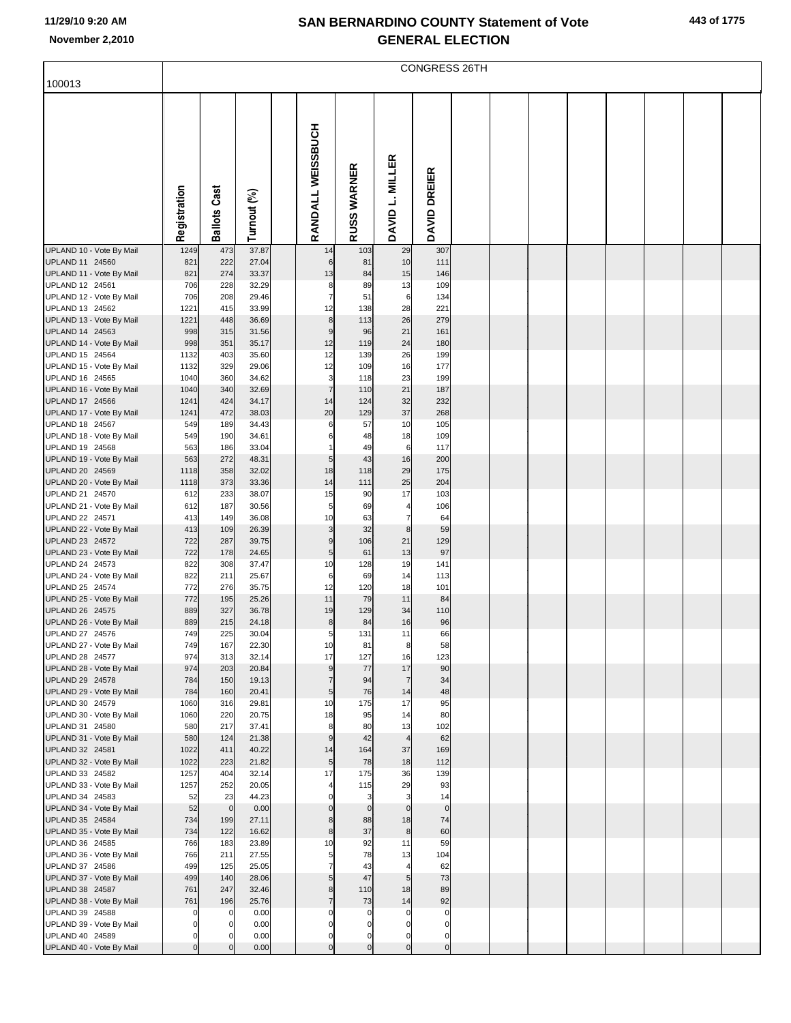|  |  | 443 of 1775 |  |
|--|--|-------------|--|
|--|--|-------------|--|

|                                             |                | <b>CONGRESS 26TH</b> |                |  |                                  |                |                        |                    |  |  |  |  |  |  |
|---------------------------------------------|----------------|----------------------|----------------|--|----------------------------------|----------------|------------------------|--------------------|--|--|--|--|--|--|
| 100013                                      |                |                      |                |  |                                  |                |                        |                    |  |  |  |  |  |  |
|                                             | Registration   | <b>Ballots Cast</b>  | Turnout (%)    |  | RANDALL WEISSBUCH                | RUSS WARNER    | DAVID L. MILLER        | DAVID DREIER       |  |  |  |  |  |  |
| UPLAND 10 - Vote By Mail                    | 1249           | 473                  | 37.87          |  | 14                               | 103            | 29                     | 307                |  |  |  |  |  |  |
| UPLAND 11 24560<br>UPLAND 11 - Vote By Mail | 821<br>821     | 222<br>274           | 27.04<br>33.37 |  | $\,6$<br>13                      | 81<br>84       | 10<br>15               | 111<br>146         |  |  |  |  |  |  |
| UPLAND 12 24561                             | 706            | 228                  | 32.29          |  | 8                                | 89             | 13                     | 109                |  |  |  |  |  |  |
| UPLAND 12 - Vote By Mail                    | 706            | 208                  | 29.46          |  | $\overline{7}$                   | 51             | $\,6$                  | 134                |  |  |  |  |  |  |
| UPLAND 13 24562                             | 1221           | 415                  | 33.99          |  | 12                               | 138            | 28<br>26               | 221<br>279         |  |  |  |  |  |  |
| UPLAND 13 - Vote By Mail<br>UPLAND 14 24563 | 1221<br>998    | 448<br>315           | 36.69<br>31.56 |  | $\bf8$<br>$\boldsymbol{9}$       | 113<br>96      | 21                     | 161                |  |  |  |  |  |  |
| UPLAND 14 - Vote By Mail                    | 998            | 351                  | 35.17          |  | 12                               | 119            | 24                     | 180                |  |  |  |  |  |  |
| UPLAND 15 24564                             | 1132           | 403                  | 35.60          |  | 12                               | 139            | 26                     | 199                |  |  |  |  |  |  |
| UPLAND 15 - Vote By Mail<br>UPLAND 16 24565 | 1132<br>1040   | 329<br>360           | 29.06<br>34.62 |  | 12<br>3                          | 109<br>118     | 16<br>23               | 177<br>199         |  |  |  |  |  |  |
| UPLAND 16 - Vote By Mail                    | 1040           | 340                  | 32.69          |  | $\overline{7}$                   | 110            | 21                     | 187                |  |  |  |  |  |  |
| UPLAND 17 24566                             | 1241           | 424                  | 34.17          |  | 14                               | 124            | 32                     | 232                |  |  |  |  |  |  |
| UPLAND 17 - Vote By Mail                    | 1241<br>549    | 472<br>189           | 38.03          |  | 20                               | 129            | 37<br>10               | 268                |  |  |  |  |  |  |
| UPLAND 18 24567<br>UPLAND 18 - Vote By Mail | 549            | 190                  | 34.43<br>34.61 |  | 6<br>6                           | 57<br>48       | 18                     | 105<br>109         |  |  |  |  |  |  |
| UPLAND 19 24568                             | 563            | 186                  | 33.04          |  | 1                                | 49             | $\,6$                  | 117                |  |  |  |  |  |  |
| UPLAND 19 - Vote By Mail                    | 563            | 272                  | 48.31          |  | 5                                | 43             | 16                     | 200                |  |  |  |  |  |  |
| UPLAND 20 24569<br>UPLAND 20 - Vote By Mail | 1118<br>1118   | 358<br>373           | 32.02<br>33.36 |  | 18<br>14                         | 118<br>111     | 29<br>25               | 175<br>204         |  |  |  |  |  |  |
| UPLAND 21 24570                             | 612            | 233                  | 38.07          |  | 15                               | 90             | 17                     | 103                |  |  |  |  |  |  |
| UPLAND 21 - Vote By Mail                    | 612            | 187                  | 30.56          |  | 5                                | 69             | $\overline{4}$         | 106                |  |  |  |  |  |  |
| UPLAND 22 24571                             | 413            | 149                  | 36.08          |  | 10                               | 63             | $\overline{7}$         | 64                 |  |  |  |  |  |  |
| UPLAND 22 - Vote By Mail<br>UPLAND 23 24572 | 413<br>722     | 109<br>287           | 26.39<br>39.75 |  | 3<br>9                           | 32<br>106      | $\bf8$<br>21           | 59<br>129          |  |  |  |  |  |  |
| UPLAND 23 - Vote By Mail                    | 722            | 178                  | 24.65          |  | $\sqrt{5}$                       | 61             | 13                     | 97                 |  |  |  |  |  |  |
| UPLAND 24 24573                             | 822            | 308                  | 37.47          |  | 10                               | 128            | 19                     | 141                |  |  |  |  |  |  |
| UPLAND 24 - Vote By Mail<br>UPLAND 25 24574 | 822<br>772     | 211<br>276           | 25.67<br>35.75 |  | 6<br>12                          | 69<br>120      | 14<br>18               | 113<br>101         |  |  |  |  |  |  |
| UPLAND 25 - Vote By Mail                    | 772            | 195                  | 25.26          |  | 11                               | 79             | 11                     | 84                 |  |  |  |  |  |  |
| UPLAND 26 24575                             | 889            | 327                  | 36.78          |  | 19                               | 129            | 34                     | 110                |  |  |  |  |  |  |
| UPLAND 26 - Vote By Mail                    | 889            | 215                  | 24.18          |  | 8                                | 84             | 16                     | 96                 |  |  |  |  |  |  |
| UPLAND 27 24576<br>UPLAND 27 - Vote By Mail | 749<br>749     | 225<br>167           | 30.04<br>22.30 |  | 5 <sup>1</sup><br>10             | 131<br>81      | 11<br>$\boldsymbol{8}$ | 66<br>58           |  |  |  |  |  |  |
| UPLAND 28 24577                             | 974            | 313                  | 32.14          |  | 17                               | 127            | 16                     | 123                |  |  |  |  |  |  |
| UPLAND 28 - Vote By Mail                    | 974            | 203                  | 20.84          |  | 9                                | 77             | 17                     | 90                 |  |  |  |  |  |  |
| UPLAND 29 24578<br>UPLAND 29 - Vote By Mail | 784<br>784     | 150<br>160           | 19.13<br>20.41 |  | $\overline{7}$<br>$\overline{5}$ | 94<br>76       | $\overline{7}$<br>14   | 34<br>48           |  |  |  |  |  |  |
| UPLAND 30 24579                             | 1060           | 316                  | 29.81          |  | 10                               | 175            | 17                     | 95                 |  |  |  |  |  |  |
| UPLAND 30 - Vote By Mail                    | 1060           | 220                  | 20.75          |  | 18                               | 95             | 14                     | 80                 |  |  |  |  |  |  |
| UPLAND 31 24580                             | 580            | 217                  | 37.41          |  | 8                                | 80             | 13                     | 102                |  |  |  |  |  |  |
| UPLAND 31 - Vote By Mail<br>UPLAND 32 24581 | 580<br>1022    | 124<br>411           | 21.38<br>40.22 |  | 9<br>14                          | 42<br>164      | $\overline{4}$<br>37   | 62<br>169          |  |  |  |  |  |  |
| UPLAND 32 - Vote By Mail                    | 1022           | 223                  | 21.82          |  | $\overline{5}$                   | 78             | 18                     | 112                |  |  |  |  |  |  |
| UPLAND 33 24582                             | 1257           | 404                  | 32.14          |  | 17                               | 175            | 36                     | 139                |  |  |  |  |  |  |
| UPLAND 33 - Vote By Mail<br>UPLAND 34 24583 | 1257<br>52     | 252<br>23            | 20.05<br>44.23 |  | 4<br>$\Omega$                    | 115<br>3       | 29<br>3                | 93<br>14           |  |  |  |  |  |  |
| UPLAND 34 - Vote By Mail                    | 52             | $\mathbf 0$          | 0.00           |  | $\mathbf 0$                      | $\mathbf 0$    | $\mathbf 0$            | $\overline{0}$     |  |  |  |  |  |  |
| UPLAND 35 24584                             | 734            | 199                  | 27.11          |  | 8                                | 88             | 18                     | 74                 |  |  |  |  |  |  |
| UPLAND 35 - Vote By Mail                    | 734            | 122                  | 16.62          |  | 8                                | 37             | $\bf{8}$               | 60                 |  |  |  |  |  |  |
| UPLAND 36 24585<br>UPLAND 36 - Vote By Mail | 766<br>766     | 183<br>211           | 23.89<br>27.55 |  | 10<br>5                          | 92<br>78       | 11<br>13               | 59<br>104          |  |  |  |  |  |  |
| UPLAND 37 24586                             | 499            | 125                  | 25.05          |  | $\overline{7}$                   | 43             | $\overline{4}$         | 62                 |  |  |  |  |  |  |
| UPLAND 37 - Vote By Mail                    | 499            | 140                  | 28.06          |  | 5                                | 47             | 5 <sub>5</sub>         | 73                 |  |  |  |  |  |  |
| UPLAND 38 24587                             | 761            | 247                  | 32.46          |  | 8                                | 110            | 18                     | 89                 |  |  |  |  |  |  |
| UPLAND 38 - Vote By Mail<br>UPLAND 39 24588 | 761<br>0       | 196<br>$\mathbf 0$   | 25.76<br>0.00  |  | $\overline{7}$<br>$\Omega$       | 73<br>0        | 14<br>0                | 92<br>$\mathbf{0}$ |  |  |  |  |  |  |
| UPLAND 39 - Vote By Mail                    | 0              | 0                    | 0.00           |  | 0                                | $\mathbf 0$    | $\mathbf 0$            | $\mathbf{0}$       |  |  |  |  |  |  |
| UPLAND 40 24589                             | $\mathbf 0$    |                      | 0.00           |  | 0                                | $\mathbf 0$    | $\mathbf 0$            | $\mathbf{0}$       |  |  |  |  |  |  |
| UPLAND 40 - Vote By Mail                    | $\overline{0}$ | $\Omega$             | 0.00           |  | $\mathbf 0$                      | $\overline{0}$ | $\overline{0}$         | $\overline{0}$     |  |  |  |  |  |  |